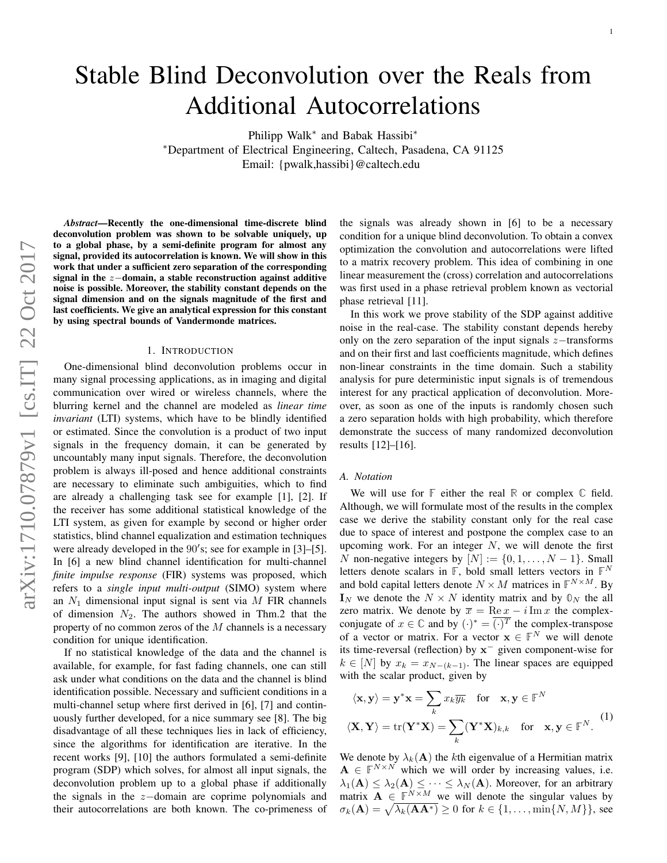# Stable Blind Deconvolution over the Reals from Additional Autocorrelations

Philipp Walk<sup>\*</sup> and Babak Hassibi<sup>\*</sup> <sup>∗</sup>Department of Electrical Engineering, Caltech, Pasadena, CA 91125 Email: {pwalk,hassibi}@caltech.edu

*Abstract*—Recently the one-dimensional time-discrete blind deconvolution problem was shown to be solvable uniquely, up to a global phase, by a semi-definite program for almost any signal, provided its autocorrelation is known. We will show in this work that under a sufficient zero separation of the corresponding signal in the z−domain, a stable reconstruction against additive noise is possible. Moreover, the stability constant depends on the signal dimension and on the signals magnitude of the first and last coefficients. We give an analytical expression for this constant by using spectral bounds of Vandermonde matrices.

#### 1. INTRODUCTION

One-dimensional blind deconvolution problems occur in many signal processing applications, as in imaging and digital communication over wired or wireless channels, where the blurring kernel and the channel are modeled as *linear time invariant* (LTI) systems, which have to be blindly identified or estimated. Since the convolution is a product of two input signals in the frequency domain, it can be generated by uncountably many input signals. Therefore, the deconvolution problem is always ill-posed and hence additional constraints are necessary to eliminate such ambiguities, which to find are already a challenging task see for example [1], [2]. If the receiver has some additional statistical knowledge of the LTI system, as given for example by second or higher order statistics, blind channel equalization and estimation techniques were already developed in the 90's; see for example in [3]-[5]. In [6] a new blind channel identification for multi-channel *finite impulse response* (FIR) systems was proposed, which refers to a *single input multi-output* (SIMO) system where an  $N_1$  dimensional input signal is sent via M FIR channels of dimension  $N_2$ . The authors showed in Thm.2 that the property of no common zeros of the  $M$  channels is a necessary condition for unique identification.

If no statistical knowledge of the data and the channel is available, for example, for fast fading channels, one can still ask under what conditions on the data and the channel is blind identification possible. Necessary and sufficient conditions in a multi-channel setup where first derived in [6], [7] and continuously further developed, for a nice summary see [8]. The big disadvantage of all these techniques lies in lack of efficiency, since the algorithms for identification are iterative. In the recent works [9], [10] the authors formulated a semi-definite program (SDP) which solves, for almost all input signals, the deconvolution problem up to a global phase if additionally the signals in the z−domain are coprime polynomials and their autocorrelations are both known. The co-primeness of the signals was already shown in [6] to be a necessary condition for a unique blind deconvolution. To obtain a convex optimization the convolution and autocorrelations were lifted to a matrix recovery problem. This idea of combining in one linear measurement the (cross) correlation and autocorrelations was first used in a phase retrieval problem known as vectorial phase retrieval [11].

In this work we prove stability of the SDP against additive noise in the real-case. The stability constant depends hereby only on the zero separation of the input signals  $z$ −transforms and on their first and last coefficients magnitude, which defines non-linear constraints in the time domain. Such a stability analysis for pure deterministic input signals is of tremendous interest for any practical application of deconvolution. Moreover, as soon as one of the inputs is randomly chosen such a zero separation holds with high probability, which therefore demonstrate the success of many randomized deconvolution results [12]–[16].

#### *A. Notation*

We will use for **F** either the real **R** or complex **C** field. Although, we will formulate most of the results in the complex case we derive the stability constant only for the real case due to space of interest and postpone the complex case to an upcoming work. For an integer  $N$ , we will denote the first N non-negative integers by  $[N] := \{0, 1, \ldots, N - 1\}$ . Small letters denote scalars in **F**, bold small letters vectors in **F** N and bold capital letters denote  $N \times M$  matrices in  $\mathbb{F}^{N \times M}$ . By  $I_N$  we denote the  $N \times N$  identity matrix and by  $\mathbb{O}_N$  the all zero matrix. We denote by  $\overline{x} = \text{Re } x - i \text{Im } x$  the complexconjugate of  $x \in \mathbb{C}$  and by  $(\cdot)^* = \overline{(\cdot)^T}$  the complex-transpose of a vector or matrix. For a vector  $x \in \mathbb{F}^N$  we will denote its time-reversal (reflection) by  $x^-$  given component-wise for  $k \in [N]$  by  $x_k = x_{N-(k-1)}$ . The linear spaces are equipped with the scalar product, given by

$$
\langle \mathbf{x}, \mathbf{y} \rangle = \mathbf{y}^* \mathbf{x} = \sum_k x_k \overline{y_k} \quad \text{for} \quad \mathbf{x}, \mathbf{y} \in \mathbb{F}^N
$$

$$
\langle \mathbf{X}, \mathbf{Y} \rangle = \text{tr}(\mathbf{Y}^* \mathbf{X}) = \sum_k (\mathbf{Y}^* \mathbf{X})_{k,k} \quad \text{for} \quad \mathbf{x}, \mathbf{y} \in \mathbb{F}^N. \tag{1}
$$

We denote by  $\lambda_k(A)$  the kth eigenvalue of a Hermitian matrix  $A \in \mathbb{F}^{N \times N}$  which we will order by increasing values, i.e.  $\lambda_1(A) \leq \lambda_2(A) \leq \cdots \leq \lambda_N(A)$ . Moreover, for an arbitrary matrix  $A \in \mathbb{F}^{N \times M}$  we will denote the singular values by  $\sigma_k(\mathbf{A}) = \sqrt{\lambda_k(\mathbf{A}\mathbf{A}^*)} \ge 0$  for  $k \in \{1, ..., \min\{N, M\}\}\)$ , see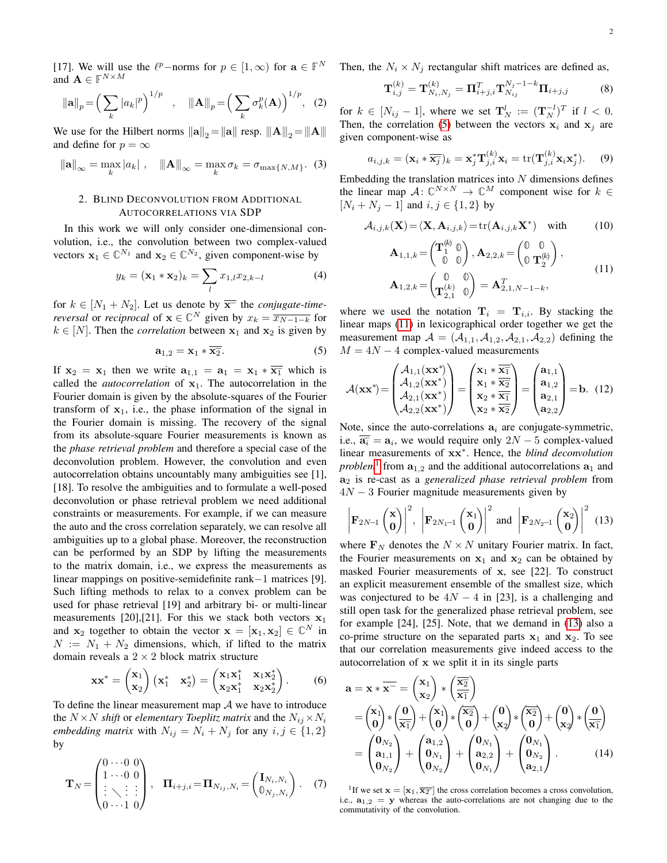[17]. We will use the  $\ell^p$ -norms for  $p \in [1,\infty)$  for  $\mathbf{a} \in \mathbb{F}^N$ and  $\mathbf{A} \in \mathbb{F}^{N \times M}$ 

$$
\|\mathbf{a}\|_{p} = \left(\sum_{k} |a_{k}|^{p}\right)^{1/p} , \quad \|\mathbf{A}\|_{p} = \left(\sum_{k} \sigma_{k}^{p}(\mathbf{A})\right)^{1/p}, \quad (2)
$$

We use for the Hilbert norms  $\|\mathbf{a}\|_2 = \|\mathbf{a}\|$  resp.  $\|\mathbf{A}\|_2 = \|\mathbf{A}\|$ and define for  $p = \infty$ 

$$
\|\mathbf{a}\|_{\infty} = \max_{k} |a_k| \; , \quad \|\mathbf{A}\|_{\infty} = \max_{k} \sigma_k = \sigma_{\max\{N,M\}}. \tag{3}
$$

#### 2. BLIND DECONVOLUTION FROM ADDITIONAL AUTOCORRELATIONS VIA SDP

In this work we will only consider one-dimensional convolution, i.e., the convolution between two complex-valued vectors  $x_1 \in \mathbb{C}^{N_1}$  and  $x_2 \in \mathbb{C}^{N_2}$ , given component-wise by

$$
y_k = (\mathbf{x}_1 * \mathbf{x}_2)_k = \sum_l x_{1,l} x_{2,k-l} \tag{4}
$$

for  $k \in [N_1 + N_2]$ . Let us denote by  $\overline{x}$  the *conjugate-timereversal* or *reciprocal* of  $\mathbf{x} \in \mathbb{C}^N$  given by  $x_k = \overline{x_{N-1-k}}$  for  $k \in [N]$ . Then the *correlation* between  $x_1$  and  $x_2$  is given by

$$
\mathbf{a}_{1,2} = \mathbf{x}_1 \ast \overline{\mathbf{x}_2}.\tag{5}
$$

If  $x_2 = x_1$  then we write  $a_{1,1} = a_1 = x_1 \cdot \overline{x_1}$  which is called the *autocorrelation* of  $x_1$ . The autocorrelation in the Fourier domain is given by the absolute-squares of the Fourier transform of  $x_1$ , i.e., the phase information of the signal in the Fourier domain is missing. The recovery of the signal from its absolute-square Fourier measurements is known as the *phase retrieval problem* and therefore a special case of the deconvolution problem. However, the convolution and even autocorrelation obtains uncountably many ambiguities see [1], [18]. To resolve the ambiguities and to formulate a well-posed deconvolution or phase retrieval problem we need additional constraints or measurements. For example, if we can measure the auto and the cross correlation separately, we can resolve all ambiguities up to a global phase. Moreover, the reconstruction can be performed by an SDP by lifting the measurements to the matrix domain, i.e., we express the measurements as linear mappings on positive-semidefinite rank−1 matrices [9]. Such lifting methods to relax to a convex problem can be used for phase retrieval [19] and arbitrary bi- or multi-linear measurements [20],[21]. For this we stack both vectors  $x_1$ and  $x_2$  together to obtain the vector  $x = [x_1, x_2] \in \mathbb{C}^N$  in  $N := N_1 + N_2$  dimensions, which, if lifted to the matrix domain reveals a  $2 \times 2$  block matrix structure

$$
\mathbf{x}\mathbf{x}^* = \begin{pmatrix} \mathbf{x}_1 \\ \mathbf{x}_2 \end{pmatrix} \begin{pmatrix} \mathbf{x}_1^* & \mathbf{x}_2^* \end{pmatrix} = \begin{pmatrix} \mathbf{x}_1 \mathbf{x}_1^* & \mathbf{x}_1 \mathbf{x}_2^* \\ \mathbf{x}_2 \mathbf{x}_1^* & \mathbf{x}_2 \mathbf{x}_2^* \end{pmatrix} . \tag{6}
$$

To define the linear measurement map  $A$  we have to introduce the  $N \times N$  *shift* or *elementary Toeplitz matrix* and the  $N_{ij} \times N_i$ *embedding matrix* with  $N_{ij} = N_i + N_j$  for any  $i, j \in \{1, 2\}$ by

$$
\mathbf{T}_N = \begin{pmatrix} 0 \cdots 0 & 0 \\ 1 \cdots 0 & 0 \\ \vdots & \ddots & \vdots \\ 0 \cdots 1 & 0 \end{pmatrix}, \quad \mathbf{\Pi}_{i+j,i} = \mathbf{\Pi}_{N_{ij},N_i} = \begin{pmatrix} \mathbf{I}_{N_i,N_i} \\ \mathbb{0}_{N_j,N_i} \end{pmatrix}.
$$
 (7)

Then, the  $N_i \times N_j$  rectangular shift matrices are defined as,

<span id="page-1-9"></span><span id="page-1-6"></span>
$$
\mathbf{T}_{i,j}^{(k)} = \mathbf{T}_{N_i,N_j}^{(k)} = \mathbf{\Pi}_{i+j,i}^T \mathbf{T}_{N_{ij}}^{N_j - 1 - k} \mathbf{\Pi}_{i+j,j}
$$
(8)

for  $k \in [N_{ij}-1]$ , where we set  $\mathbf{T}_N^l := (\mathbf{T}_N^{-l})^T$  if  $l < 0$ . Then, the correlation [\(5\)](#page-1-0) between the vectors  $x_i$  and  $x_j$  are given component-wise as

$$
a_{i,j,k} = (\mathbf{x}_i \ast \overline{\mathbf{x}_j})_k = \mathbf{x}_j^* \mathbf{T}_{j,i}^{(k)} \mathbf{x}_i = \text{tr}(\mathbf{T}_{j,i}^{(k)} \mathbf{x}_i \mathbf{x}_j^*).
$$
 (9)

<span id="page-1-8"></span>Embedding the translation matrices into  $N$  dimensions defines the linear map  $A: \mathbb{C}^{N \times N} \to \mathbb{C}^M$  component wise for  $k \in$  $[N_i + N_j - 1]$  and  $i, j \in \{1, 2\}$  by

<span id="page-1-7"></span>
$$
\mathcal{A}_{i,j,k}(\mathbf{X}) = \langle \mathbf{X}, \mathbf{A}_{i,j,k} \rangle = \text{tr}(\mathbf{A}_{i,j,k} \mathbf{X}^*) \quad \text{with} \tag{10}
$$

<span id="page-1-4"></span>
$$
\mathbf{A}_{1,1,k} = \begin{pmatrix} \mathbf{T}_1^{(k)} & 0 \\ 0 & 0 \end{pmatrix}, \mathbf{A}_{2,2,k} = \begin{pmatrix} 0 & 0 \\ 0 & \mathbf{T}_2^{(k)} \end{pmatrix}, \n\mathbf{A}_{1,2,k} = \begin{pmatrix} 0 & 0 \\ \mathbf{T}_{2,1}^{(k)} & 0 \end{pmatrix} = \mathbf{A}_{2,1,N-1-k}^T,
$$
\n(11)

<span id="page-1-1"></span><span id="page-1-0"></span>where we used the notation  $T_i = T_{i,i}$ . By stacking the linear maps [\(11\)](#page-1-1) in lexicographical order together we get the measurement map  $A = (\mathcal{A}_{1,1}, \mathcal{A}_{1,2}, \mathcal{A}_{2,1}, \mathcal{A}_{2,2})$  defining the  $M = 4N - 4$  complex-valued measurements

$$
\mathcal{A}(\mathbf{x}\mathbf{x}^*) = \begin{pmatrix} \mathcal{A}_{1,1}(\mathbf{x}\mathbf{x}^*) \\ \mathcal{A}_{1,2}(\mathbf{x}\mathbf{x}^*) \\ \mathcal{A}_{2,1}(\mathbf{x}\mathbf{x}^*) \\ \mathcal{A}_{2,2}(\mathbf{x}\mathbf{x}^*) \end{pmatrix} = \begin{pmatrix} \mathbf{x}_1 * \overline{\mathbf{x}_1} \\ \mathbf{x}_1 * \overline{\mathbf{x}_2} \\ \mathbf{x}_2 * \overline{\mathbf{x}_1} \\ \mathbf{x}_2 * \overline{\mathbf{x}_2} \end{pmatrix} = \begin{pmatrix} \mathbf{a}_{1,1} \\ \mathbf{a}_{1,2} \\ \mathbf{a}_{2,1} \\ \mathbf{a}_{2,2} \end{pmatrix} = \mathbf{b}.
$$
 (12)

Note, since the auto-correlations  $a_i$  are conjugate-symmetric, i.e.,  $\overline{\mathbf{a}_i} = \mathbf{a}_i$ , we would require only  $2N - 5$  complex-valued linear measurements of xx<sup>∗</sup> . Hence, the *blind deconvolution problem*<sup>[1](#page-1-2)</sup> from  $a_{1,2}$  and the additional autocorrelations  $a_1$  and a<sup>2</sup> is re-cast as a *generalized phase retrieval problem* from  $4N - 3$  Fourier magnitude measurements given by

<span id="page-1-3"></span>
$$
\left|\mathbf{F}_{2N-1}\begin{pmatrix} \mathbf{x} \\ \mathbf{0} \end{pmatrix}\right|^2, \left|\mathbf{F}_{2N_1-1}\begin{pmatrix} \mathbf{x}_1 \\ \mathbf{0} \end{pmatrix}\right|^2 \text{ and } \left|\mathbf{F}_{2N_2-1}\begin{pmatrix} \mathbf{x}_2 \\ \mathbf{0} \end{pmatrix}\right|^2 \tag{13}
$$

where  $\mathbf{F}_N$  denotes the  $N \times N$  unitary Fourier matrix. In fact, the Fourier measurements on  $x_1$  and  $x_2$  can be obtained by masked Fourier measurements of x, see [22]. To construct an explicit measurement ensemble of the smallest size, which was conjectured to be  $4N - 4$  in [23], is a challenging and still open task for the generalized phase retrieval problem, see for example [24], [25]. Note, that we demand in [\(13\)](#page-1-3) also a co-prime structure on the separated parts  $x_1$  and  $x_2$ . To see that our correlation measurements give indeed access to the autocorrelation of x we split it in its single parts

$$
a = x * \overline{x} = \begin{pmatrix} x_1 \\ x_2 \end{pmatrix} * \begin{pmatrix} \overline{x_2} \\ \overline{x_1} \end{pmatrix}
$$
  
=  $\begin{pmatrix} x_1 \\ 0 \end{pmatrix} * \begin{pmatrix} 0 \\ \overline{x_1} \end{pmatrix} + \begin{pmatrix} x_1 \\ 0 \end{pmatrix} * \begin{pmatrix} \overline{x_2} \\ 0 \end{pmatrix} + \begin{pmatrix} 0 \\ x_2 \end{pmatrix} * \begin{pmatrix} \overline{x_2} \\ 0 \end{pmatrix} + \begin{pmatrix} 0 \\ x_2 \end{pmatrix} * \begin{pmatrix} 0 \\ \overline{x_1} \end{pmatrix}$   
=  $\begin{pmatrix} 0_{N_2} \\ a_{1,1} \\ 0_{N_2} \end{pmatrix} + \begin{pmatrix} a_{1,2} \\ 0_{N_1} \\ 0_{N_2} \end{pmatrix} + \begin{pmatrix} 0_{N_1} \\ a_{2,2} \\ 0_{N_1} \end{pmatrix} + \begin{pmatrix} 0_{N_2} \\ 0_{N_2} \\ a_{2,1} \end{pmatrix}.$  (14)

<span id="page-1-5"></span><span id="page-1-2"></span><sup>1</sup>If we set  $\mathbf{x} = [\mathbf{x}_1, \overline{\mathbf{x}_2}]$  the cross correlation becomes a cross convolution, i.e.,  $a_{1,2} = y$  whereas the auto-correlations are not changing due to the commutativity of the convolution.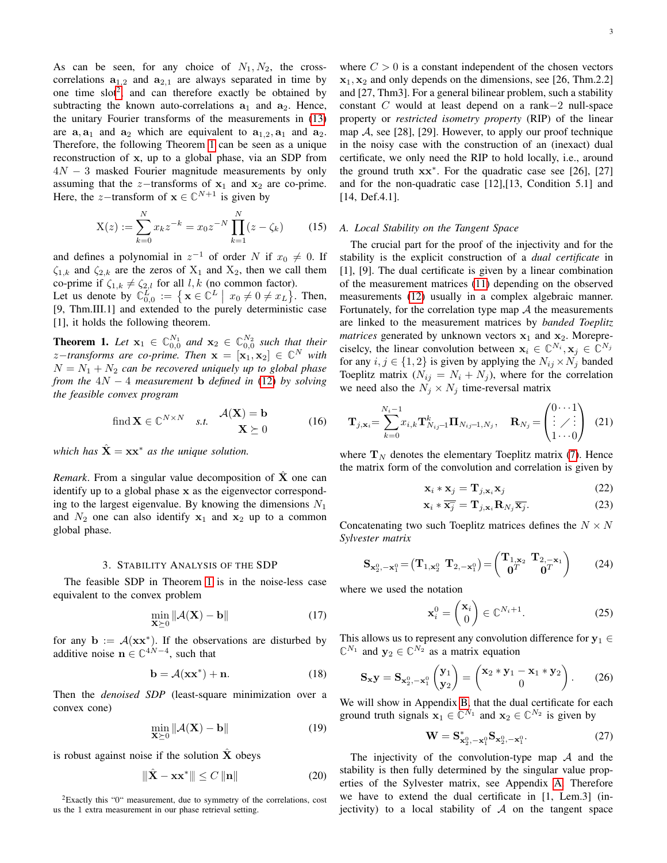As can be seen, for any choice of  $N_1, N_2$ , the crosscorrelations  $a_{1,2}$  and  $a_{2,1}$  are always separated in time by one time  $slot^2$  $slot^2$ , and can therefore exactly be obtained by subtracting the known auto-correlations  $a_1$  and  $a_2$ . Hence, the unitary Fourier transforms of the measurements in [\(13\)](#page-1-3) are  $a_1$ , and  $a_2$  which are equivalent to  $a_{1,2}, a_1$  and  $a_2$ . Therefore, the following Theorem [1](#page-2-1) can be seen as a unique reconstruction of x, up to a global phase, via an SDP from  $4N - 3$  masked Fourier magnitude measurements by only assuming that the z−transforms of  $x_1$  and  $x_2$  are co-prime. Here, the *z*-transform of  $\mathbf{x} \in \mathbb{C}^{N+1}$  is given by

$$
X(z) := \sum_{k=0}^{N} x_k z^{-k} = x_0 z^{-N} \prod_{k=1}^{N} (z - \zeta_k)
$$
 (15)

and defines a polynomial in  $z^{-1}$  of order N if  $x_0 \neq 0$ . If  $\zeta_{1,k}$  and  $\zeta_{2,k}$  are the zeros of  $X_1$  and  $X_2$ , then we call them co-prime if  $\zeta_{1,k} \neq \zeta_{2,l}$  for all l, k (no common factor). Let us denote by  $\mathbb{C}_{0,0}^L := \{ \mathbf{x} \in \mathbb{C}^L \mid x_0 \neq 0 \neq x_L \}.$  Then,

[9, Thm.III.1] and extended to the purely deterministic case [1], it holds the following theorem.

<span id="page-2-1"></span>**Theorem 1.** Let  $\mathbf{x}_1 \in \mathbb{C}_{0,0}^{N_1}$  and  $\mathbf{x}_2 \in \mathbb{C}_{0,0}^{N_2}$  such that their *z*−*transforms are co-prime. Then*  $\mathbf{x} = [\mathbf{x}_1, \mathbf{x}_2] \in \mathbb{C}^N$  *with*  $N = N_1 + N_2$  *can be recovered uniquely up to global phase from the* 4N − 4 *measurement* b *defined in* [\(12\)](#page-1-4) *by solving the feasible convex program*

find 
$$
\mathbf{X} \in \mathbb{C}^{N \times N}
$$
 s.t.  $\mathcal{A}(\mathbf{X}) = \mathbf{b}$   
 $\mathbf{X} \succeq 0$  (16)

*which has*  $\hat{\mathbf{X}} = \mathbf{x} \mathbf{x}^*$  *as the unique solution.* 

*Remark*. From a singular value decomposition of  $\hat{\mathbf{X}}$  one can identify up to a global phase x as the eigenvector corresponding to the largest eigenvalue. By knowing the dimensions  $N_1$ and  $N_2$  one can also identify  $x_1$  and  $x_2$  up to a common global phase.

## 3. STABILITY ANALYSIS OF THE SDP

The feasible SDP in Theorem [1](#page-2-1) is in the noise-less case equivalent to the convex problem

$$
\min_{\mathbf{X} \succeq 0} \|\mathcal{A}(\mathbf{X}) - \mathbf{b}\| \tag{17}
$$

for any  $\mathbf{b} := \mathcal{A}(\mathbf{x} \mathbf{x}^*)$ . If the observations are disturbed by additive noise  $n \in \mathbb{C}^{4N-4}$ , such that

$$
\mathbf{b} = \mathcal{A}(\mathbf{x}\mathbf{x}^*) + \mathbf{n}.\tag{18}
$$

Then the *denoised SDP* (least-square minimization over a convex cone)

$$
\min_{\mathbf{X} \succeq 0} \|\mathcal{A}(\mathbf{X}) - \mathbf{b}\| \tag{19}
$$

is robust against noise if the solution  $\hat{\mathbf{X}}$  obeys

$$
\|\hat{\mathbf{X}} - \mathbf{x}\mathbf{x}^*\| \le C \|\mathbf{n}\| \tag{20}
$$

<span id="page-2-0"></span><sup>2</sup>Exactly this "0" measurement, due to symmetry of the correlations, cost us the 1 extra measurement in our phase retrieval setting.

where  $C > 0$  is a constant independent of the chosen vectors  $x_1, x_2$  and only depends on the dimensions, see [26, Thm.2.2] and [27, Thm3]. For a general bilinear problem, such a stability constant C would at least depend on a rank−2 null-space property or *restricted isometry property* (RIP) of the linear map  $A$ , see [28], [29]. However, to apply our proof technique in the noisy case with the construction of an (inexact) dual certificate, we only need the RIP to hold locally, i.e., around the ground truth  $xx^*$ . For the quadratic case see [26], [27] and for the non-quadratic case [12],[13, Condition 5.1] and [14, Def.4.1].

#### <span id="page-2-7"></span>*A. Local Stability on the Tangent Space*

The crucial part for the proof of the injectivity and for the stability is the explicit construction of a *dual certificate* in [1], [9]. The dual certificate is given by a linear combination of the measurement matrices [\(11\)](#page-1-1) depending on the observed measurements [\(12\)](#page-1-4) usually in a complex algebraic manner. Fortunately, for the correlation type map  $A$  the measurements are linked to the measurement matrices by *banded Toeplitz matrices* generated by unknown vectors  $x_1$  and  $x_2$ . Morepreciselcy, the linear convolution between  $x_i \in \mathbb{C}^{N_i}, x_j \in \mathbb{C}^{N_j}$ for any  $i, j \in \{1, 2\}$  is given by applying the  $N_{ij} \times N_j$  banded Toeplitz matrix  $(N_{ij} = N_i + N_j)$ , where for the correlation we need also the  $N_j \times N_j$  time-reversal matrix

$$
\mathbf{T}_{j,\mathbf{x}_{i}} = \sum_{k=0}^{N_{i}-1} x_{i,k} \mathbf{T}_{N_{i,j}-1}^{k} \mathbf{\Pi}_{N_{i,j}-1,N_{j}}, \quad \mathbf{R}_{N_{j}} = \begin{pmatrix} 0 \cdots 1 \\ \vdots \\ 1 \cdots 0 \end{pmatrix} \tag{21}
$$

where  $T_N$  denotes the elementary Toeplitz matrix [\(7\)](#page-1-5). Hence the matrix form of the convolution and correlation is given by

<span id="page-2-10"></span><span id="page-2-3"></span><span id="page-2-2"></span>
$$
\mathbf{x}_i * \mathbf{x}_j = \mathbf{T}_{j, \mathbf{x}_i} \mathbf{x}_j \tag{22}
$$

$$
\mathbf{x}_{i} * \overline{\mathbf{x}_{j}} = \mathbf{T}_{j, \mathbf{x}_{i}} \mathbf{R}_{N_{j}} \overline{\mathbf{x}_{j}}.
$$
 (23)

Concatenating two such Toeplitz matrices defines the  $N \times N$ *Sylvester matrix*

$$
\mathbf{S}_{\mathbf{x}_2^0, -\mathbf{x}_1^0} = (\mathbf{T}_{1, \mathbf{x}_2^0} \ \mathbf{T}_{2, -\mathbf{x}_1^0}) = \begin{pmatrix} \mathbf{T}_{1, \mathbf{x}_2} & \mathbf{T}_{2, -\mathbf{x}_1} \\ \mathbf{0}^T & \mathbf{0}^T \end{pmatrix} \tag{24}
$$

where we used the notation

<span id="page-2-9"></span><span id="page-2-8"></span><span id="page-2-4"></span>
$$
\mathbf{x}_i^0 = \begin{pmatrix} \mathbf{x}_i \\ 0 \end{pmatrix} \in \mathbb{C}^{N_i + 1}.
$$
 (25)

This allows us to represent any convolution difference for  $y_1 \in$  $\mathbb{C}^{N_1}$  and  $\mathbf{y}_2 \in \mathbb{C}^{N_2}$  as a matrix equation

$$
\mathbf{S}_{\mathbf{x}}\mathbf{y} = \mathbf{S}_{\mathbf{x}_2^0, -\mathbf{x}_1^0} \begin{pmatrix} \mathbf{y}_1 \\ \mathbf{y}_2 \end{pmatrix} = \begin{pmatrix} \mathbf{x}_2 \cdot \mathbf{y}_1 - \mathbf{x}_1 \cdot \mathbf{y}_2 \\ 0 \end{pmatrix}.
$$
 (26)

<span id="page-2-5"></span>We will show in Appendix [B,](#page-10-0) that the dual certificate for each ground truth signals  $x_1 \in \mathbb{C}^{N_1}$  and  $x_2 \in \mathbb{C}^{N_2}$  is given by

<span id="page-2-6"></span>
$$
\mathbf{W} = \mathbf{S}_{\mathbf{x}_2^0, -\mathbf{x}_1^0}^* \mathbf{S}_{\mathbf{x}_2^0, -\mathbf{x}_1^0}.
$$
 (27)

The injectivity of the convolution-type map  $A$  and the stability is then fully determined by the singular value properties of the Sylvester matrix, see Appendix [A.](#page-8-0) Therefore we have to extend the dual certificate in [1, Lem.3] (injectivity) to a local stability of  $A$  on the tangent space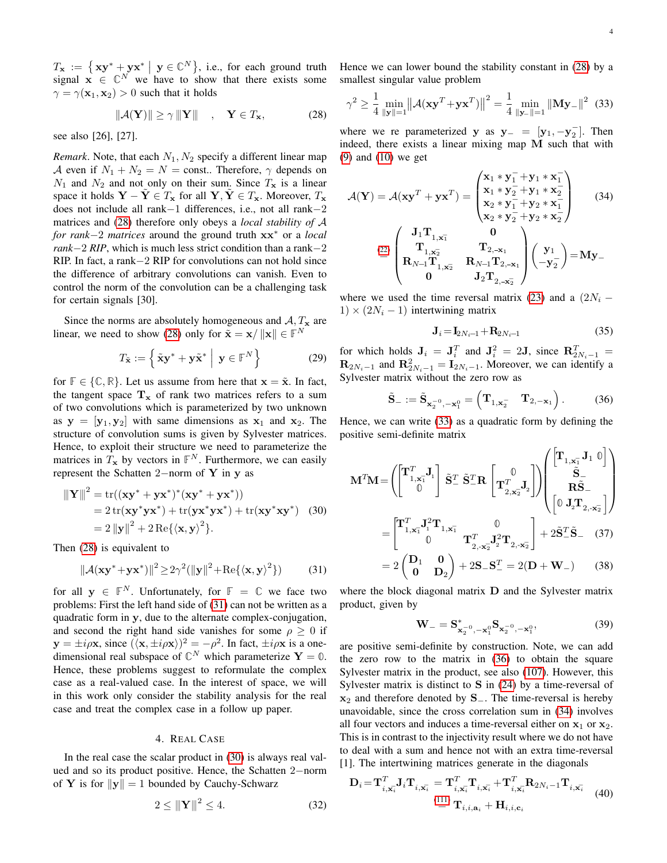$T_x := \{ xy^* + yx^* \mid y \in \mathbb{C}^N \},$  i.e., for each ground truth signal  $x \in \mathbb{C}^N$  we have to show that there exists some  $\gamma = \gamma(\mathbf{x}_1, \mathbf{x}_2) > 0$  such that it holds

$$
\|\mathcal{A}(\mathbf{Y})\| \ge \gamma \|\mathbf{Y}\| \quad , \quad \mathbf{Y} \in T_{\mathbf{x}}, \tag{28}
$$

see also [26], [27].

*Remark*. Note, that each  $N_1$ ,  $N_2$  specify a different linear map A even if  $N_1 + N_2 = N$  = const.. Therefore,  $\gamma$  depends on  $N_1$  and  $N_2$  and not only on their sum. Since  $T_x$  is a linear space it holds  $Y - Y \in T_x$  for all  $Y, Y \in T_x$ . Moreover,  $T_x$ does not include all rank−1 differences, i.e., not all rank−2 matrices and [\(28\)](#page-3-0) therefore only obeys a *local stability of* A *for rank*−2 *matrices* around the ground truth xx<sup>∗</sup> or a *local rank*−2 *RIP*, which is much less strict condition than a rank−2 RIP. In fact, a rank−2 RIP for convolutions can not hold since the difference of arbitrary convolutions can vanish. Even to control the norm of the convolution can be a challenging task for certain signals [30].

Since the norms are absolutely homogeneous and  $A, T_x$  are linear, we need to show [\(28\)](#page-3-0) only for  $\tilde{\mathbf{x}} = \mathbf{x}/\|\mathbf{x}\| \in \mathbb{F}^N$ 

$$
T_{\tilde{\mathbf{x}}} := \left\{ \tilde{\mathbf{x}} \mathbf{y}^* + \mathbf{y} \tilde{\mathbf{x}}^* \middle| \mathbf{y} \in \mathbb{F}^N \right\}
$$
 (29)

for  $\mathbb{F} \in \{ \mathbb{C}, \mathbb{R} \}$ . Let us assume from here that  $\mathbf{x} = \tilde{\mathbf{x}}$ . In fact, the tangent space  $T_x$  of rank two matrices refers to a sum of two convolutions which is parameterized by two unknown as  $y = [y_1, y_2]$  with same dimensions as  $x_1$  and  $x_2$ . The structure of convolution sums is given by Sylvester matrices. Hence, to exploit their structure we need to parameterize the matrices in  $T_x$  by vectors in  $\mathbb{F}^N$ . Furthermore, we can easily represent the Schatten 2−norm of Y in y as

$$
\|\mathbf{Y}\|^2 = \text{tr}((\mathbf{x}\mathbf{y}^* + \mathbf{y}\mathbf{x}^*)^*(\mathbf{x}\mathbf{y}^* + \mathbf{y}\mathbf{x}^*))
$$
  
= 2 tr( $\mathbf{x}\mathbf{y}^* \mathbf{y}\mathbf{x}^* + \text{tr}(\mathbf{y}\mathbf{x}^* \mathbf{y}\mathbf{x}^*) + \text{tr}(\mathbf{x}\mathbf{y}^* \mathbf{x}\mathbf{y}^*)$  (30)  
= 2  $\|\mathbf{y}\|^2 + 2 \text{Re}\{\langle \mathbf{x}, \mathbf{y} \rangle^2\}.$ 

Then [\(28\)](#page-3-0) is equivalent to

$$
\|\mathcal{A}(\mathbf{xy}^* + \mathbf{yx}^*)\|^2 \ge 2\gamma^2 (\|\mathbf{y}\|^2 + \text{Re}\{\langle \mathbf{x}, \mathbf{y} \rangle^2\})
$$
 (31)

for all  $y \in \mathbb{F}^N$ . Unfortunately, for  $\mathbb{F} = \mathbb{C}$  we face two problems: First the left hand side of [\(31\)](#page-3-1) can not be written as a quadratic form in y, due to the alternate complex-conjugation, and second the right hand side vanishes for some  $\rho > 0$  if  $y = \pm i\rho x$ , since  $(\langle x, \pm i\rho x \rangle)^2 = -\rho^2$ . In fact,  $\pm i\rho x$  is a onedimensional real subspace of  $\mathbb{C}^N$  which parameterize  $\mathbf{Y} = \mathbf{0}$ . Hence, these problems suggest to reformulate the complex case as a real-valued case. In the interest of space, we will in this work only consider the stability analysis for the real case and treat the complex case in a follow up paper.

#### 4. REAL CASE

In the real case the scalar product in [\(30\)](#page-3-2) is always real valued and so its product positive. Hence, the Schatten 2−norm of Y is for  $||y|| = 1$  bounded by Cauchy-Schwarz

$$
2 \le ||\mathbf{Y}||^2 \le 4. \tag{32}
$$

Hence we can lower bound the stability constant in [\(28\)](#page-3-0) by a smallest singular value problem

<span id="page-3-3"></span>
$$
\gamma^2 \ge \frac{1}{4} \min_{\|\mathbf{y}\| = 1} \left\| \mathcal{A} (\mathbf{x} \mathbf{y}^T + \mathbf{y} \mathbf{x}^T) \right\|^2 = \frac{1}{4} \min_{\|\mathbf{y}\| = 1} \left\| \mathbf{M} \mathbf{y} - \right\|^2 \tag{33}
$$

<span id="page-3-0"></span>where we re parameterized y as  $y = [y_1, -y_2]$ . Then indeed, there exists a linear mixing map M such that with [\(9\)](#page-1-6) and [\(10\)](#page-1-7) we get

$$
\mathcal{A}(\mathbf{Y}) = \mathcal{A}(\mathbf{x}\mathbf{y}^T + \mathbf{y}\mathbf{x}^T) = \begin{pmatrix} \mathbf{x}_1 * \mathbf{y}_1^- + \mathbf{y}_1 * \mathbf{x}_1^- \\ \mathbf{x}_1 * \mathbf{y}_2^- + \mathbf{y}_1 * \mathbf{x}_2^- \\ \mathbf{x}_2 * \mathbf{y}_1^- + \mathbf{y}_2 * \mathbf{x}_1^- \\ \mathbf{x}_2 * \mathbf{y}_2^- + \mathbf{y}_2 * \mathbf{x}_2^- \end{pmatrix}
$$
(34)  

$$
\stackrel{(22)}{=} \begin{pmatrix} \mathbf{J}_1 \mathbf{T}_{1, \mathbf{x}_1^-} & \mathbf{0} \\ \mathbf{T}_{1, \mathbf{x}_2^-} & \mathbf{T}_{2, -\mathbf{x}_1} \\ \mathbf{R}_{N-1} \mathbf{T}_{1, \mathbf{x}_2^-} & \mathbf{R}_{N-1} \mathbf{T}_{2, -\mathbf{x}_1} \\ \mathbf{0} & \mathbf{J}_2 \mathbf{T}_{2, -\mathbf{x}_2^-} \end{pmatrix} \begin{pmatrix} \mathbf{y}_1 \\ -\mathbf{y}_2^- \end{pmatrix} = \mathbf{M} \mathbf{y}_-
$$

where we used the time reversal matrix [\(23\)](#page-2-3) and a  $(2N_i - )$  $1) \times (2N_i - 1)$  intertwining matrix

<span id="page-3-5"></span><span id="page-3-4"></span>
$$
\mathbf{J}_i = \mathbf{I}_{2N_i-1} + \mathbf{R}_{2N_i-1} \tag{35}
$$

for which holds  $J_i = J_i^T$  and  $J_i^2 = 2J$ , since  $\mathbb{R}_{2N_i-1}^T =$  $\mathbf{R}_{2N_i-1}$  and  $\mathbf{R}_{2N_i-1}^2 = \mathbf{I}_{2N_i-1}$ . Moreover, we can identify a Sylvester matrix without the zero row as

$$
\widetilde{\mathbf{S}}_{-} := \widetilde{\mathbf{S}}_{\mathbf{x}_2^{-0}, -\mathbf{x}_1^0} = \begin{pmatrix} \mathbf{T}_{1,\mathbf{x}_2^{-}} & \mathbf{T}_{2,-\mathbf{x}_1} \end{pmatrix} . \tag{36}
$$

Hence, we can write [\(33\)](#page-3-3) as a quadratic form by defining the positive semi-definite matrix

<span id="page-3-2"></span>
$$
\mathbf{M}^T \mathbf{M} = \left( \begin{bmatrix} \mathbf{T}_{1,\mathbf{x}_1}^T \mathbf{J}_1 \\ 0 \end{bmatrix} \tilde{\mathbf{S}}_2^T \tilde{\mathbf{S}}_2^T \mathbf{R} \begin{bmatrix} 0 \\ \mathbf{T}_{2,\mathbf{x}_2}^T \mathbf{J}_2 \end{bmatrix} \right) \begin{bmatrix} \mathbf{T}_{1,\mathbf{x}_1} \mathbf{J}_1 \ 0 \\ \mathbf{R} \tilde{\mathbf{S}}_- \\ \begin{bmatrix} 0 \ \mathbf{J}_2 \mathbf{T}_{2,\mathbf{x}_2} \end{bmatrix} \end{bmatrix}
$$

$$
= \begin{bmatrix} \mathbf{T}_{1,\mathbf{x}_1}^T \mathbf{J}_1^2 \mathbf{T}_{1,\mathbf{x}_1} & 0 \\ 0 \mathbf{T}_{2,\mathbf{x}_2}^T \mathbf{J}_2^2 \mathbf{T}_{2,\mathbf{x}_2} \end{bmatrix} + 2 \tilde{\mathbf{S}}_2^T \tilde{\mathbf{S}}_- \quad (37)
$$

$$
= 2 \begin{pmatrix} \mathbf{D}_1 & \mathbf{0} \\ \mathbf{0} & \mathbf{D}_2 \end{pmatrix} + 2 \mathbf{S}_- \mathbf{S}_-^T = 2(\mathbf{D} + \mathbf{W}_-) \quad (38)
$$

<span id="page-3-1"></span>where the block diagonal matrix **D** and the Sylvester matrix product, given by

<span id="page-3-8"></span><span id="page-3-7"></span>
$$
\mathbf{W}_{-} = \mathbf{S}_{\mathbf{x}_{2}^{-0}, -\mathbf{x}_{1}^{0}}^* \mathbf{S}_{\mathbf{x}_{2}^{-0}, -\mathbf{x}_{1}^{0}},
$$
(39)

are positive semi-definite by construction. Note, we can add the zero row to the matrix in [\(36\)](#page-3-4) to obtain the square Sylvester matrix in the product, see also [\(107\)](#page-10-1). However, this Sylvester matrix is distinct to  $S$  in [\(24\)](#page-2-4) by a time-reversal of  $x_2$  and therefore denoted by S<sub>−</sub>. The time-reversal is hereby unavoidable, since the cross correlation sum in [\(34\)](#page-3-5) involves all four vectors and induces a time-reversal either on  $x_1$  or  $x_2$ . This is in contrast to the injectivity result where we do not have to deal with a sum and hence not with an extra time-reversal [1]. The intertwining matrices generate in the diagonals

<span id="page-3-6"></span>
$$
\mathbf{D}_{i} = \mathbf{T}_{i,\overline{\mathbf{x}_{i}}}^{T} \mathbf{J}_{i} \mathbf{T}_{i,\overline{\mathbf{x}_{i}}} = \mathbf{T}_{i,\overline{\mathbf{x}_{i}}}^{T} \mathbf{T}_{i,\overline{\mathbf{x}_{i}}} + \mathbf{T}_{i,\overline{\mathbf{x}_{i}}}^{T} \mathbf{R}_{2N_{i}-1} \mathbf{T}_{i,\overline{\mathbf{x}_{i}}}
$$
(40)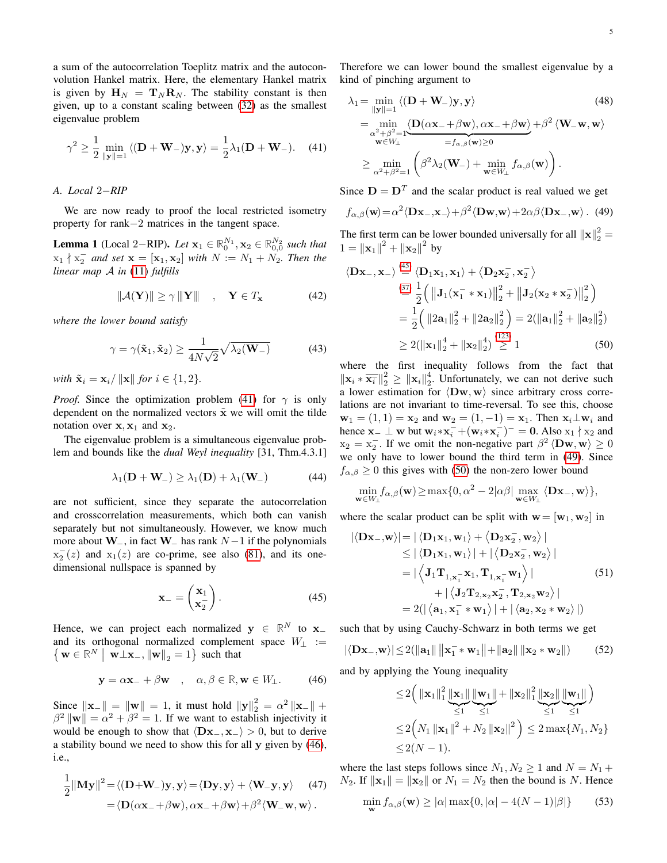a sum of the autocorrelation Toeplitz matrix and the autoconvolution Hankel matrix. Here, the elementary Hankel matrix is given by  $H_N = T_N R_N$ . The stability constant is then given, up to a constant scaling between [\(32\)](#page-3-6) as the smallest eigenvalue problem

$$
\gamma^2 \ge \frac{1}{2} \min_{\|\mathbf{y}\|=1} \langle (\mathbf{D} + \mathbf{W}_-) \mathbf{y}, \mathbf{y} \rangle = \frac{1}{2} \lambda_1 (\mathbf{D} + \mathbf{W}_-). \tag{41}
$$

#### *A. Local* 2−*RIP*

We are now ready to proof the local restricted isometry property for rank−2 matrices in the tangent space.

<span id="page-4-5"></span>**Lemma 1** (Local 2–RIP). *Let*  $\mathbf{x}_1 \in \mathbb{R}_0^{N_1}, \mathbf{x}_2 \in \mathbb{R}_{0,0}^{N_2}$  such that  $x_1 \nmid x_2^-$  and set  $\mathbf{x} = [\mathbf{x}_1, \mathbf{x}_2]$  with  $N := N_1 + N_2$ . Then the *linear map* A *in* [\(11\)](#page-1-1) *fulfills*

$$
\|\mathcal{A}(\mathbf{Y})\| \ge \gamma \|\mathbf{Y}\| \quad , \quad \mathbf{Y} \in T_{\mathbf{x}} \tag{42}
$$

*where the lower bound satisfy*

$$
\gamma = \gamma(\tilde{\mathbf{x}}_1, \tilde{\mathbf{x}}_2) \ge \frac{1}{4N\sqrt{2}}\sqrt{\lambda_2(\mathbf{W}_-)}\tag{43}
$$

*with*  $\tilde{\mathbf{x}}_i = \mathbf{x}_i / ||\mathbf{x}||$  *for*  $i \in \{1, 2\}$ *.* 

*Proof.* Since the optimization problem [\(41\)](#page-4-0) for  $\gamma$  is only dependent on the normalized vectors  $\tilde{\mathbf{x}}$  we will omit the tilde notation over  $x, x_1$  and  $x_2$ .

The eigenvalue problem is a simultaneous eigenvalue problem and bounds like the *dual Weyl inequality* [31, Thm.4.3.1]

$$
\lambda_1(\mathbf{D} + \mathbf{W}_-) \ge \lambda_1(\mathbf{D}) + \lambda_1(\mathbf{W}_-)
$$
 (44)

are not sufficient, since they separate the autocorrelation and crosscorrelation measurements, which both can vanish separately but not simultaneously. However, we know much more about  $W_$ , in fact  $W_$  has rank  $N-1$  if the polynomials  $x_2^-(z)$  and  $x_1(z)$  are co-prime, see also [\(81\)](#page-8-1), and its onedimensional nullspace is spanned by

$$
\mathbf{x}_{-} = \begin{pmatrix} \mathbf{x}_{1} \\ \mathbf{x}_{2}^{-} \end{pmatrix} . \tag{45}
$$

Hence, we can project each normalized  $y \in \mathbb{R}^N$  to  $x_$ and its orthogonal normalized complement space  $W_\perp$  :=  $\{ \mathbf{w} \in \mathbb{R}^N \mid \mathbf{w} \perp \mathbf{x}_-, ||\mathbf{w}||_2 = 1 \}$  such that

$$
\mathbf{y} = \alpha \mathbf{x}_{-} + \beta \mathbf{w} \quad , \quad \alpha, \beta \in \mathbb{R}, \mathbf{w} \in W_{\perp}.
$$
 (46)

Since  $\|\mathbf{x}\| = \|\mathbf{w}\| = 1$ , it must hold  $\|\mathbf{y}\|_2^2 = \alpha^2 \|\mathbf{x}\|_2 + \alpha^2 \|\mathbf{x}\|_2^2$  $\beta^2 \|\mathbf{w}\| = \alpha^2 + \beta^2 = 1$ . If we want to establish injectivity it would be enough to show that  $\langle \mathbf{Dx-}, \mathbf{x-} \rangle > 0$ , but to derive a stability bound we need to show this for all  $\bf{v}$  given by [\(46\)](#page-4-1), i.e.,

$$
\frac{1}{2} ||\mathbf{M} \mathbf{y}||^2 = \langle (\mathbf{D} + \mathbf{W}_-) \mathbf{y}, \mathbf{y} \rangle = \langle \mathbf{D} \mathbf{y}, \mathbf{y} \rangle + \langle \mathbf{W}_- \mathbf{y}, \mathbf{y} \rangle \quad (47)
$$

$$
= \langle \mathbf{D} (\alpha \mathbf{x}_- + \beta \mathbf{w}), \alpha \mathbf{x}_- + \beta \mathbf{w} \rangle + \beta^2 \langle \mathbf{W}_- \mathbf{w}, \mathbf{w} \rangle.
$$

Therefore we can lower bound the smallest eigenvalue by a kind of pinching argument to

<span id="page-4-0"></span>
$$
\lambda_1 = \min_{\|\mathbf{y}\|=1} \langle (\mathbf{D} + \mathbf{W}_-) \mathbf{y}, \mathbf{y} \rangle \tag{48}
$$
\n
$$
= \min_{\substack{\alpha^2 + \beta^2 = 1 \\ \mathbf{w} \in W_\perp}} \langle \mathbf{D}(\alpha \mathbf{x}_- + \beta \mathbf{w}), \alpha \mathbf{x}_- + \beta \mathbf{w} \rangle + \beta^2 \langle \mathbf{W}_- \mathbf{w}, \mathbf{w} \rangle
$$
\n
$$
\geq \min_{\alpha^2 + \beta^2 = 1} \left( \beta^2 \lambda_2(\mathbf{W}_-) + \min_{\mathbf{w} \in W_\perp} f_{\alpha, \beta}(\mathbf{w}) \right).
$$

Since  $D = D<sup>T</sup>$  and the scalar product is real valued we get

<span id="page-4-3"></span>
$$
f_{\alpha,\beta}(\mathbf{w}) = \alpha^2 \langle \mathbf{D}\mathbf{x}_{-}, \mathbf{x}_{-} \rangle + \beta^2 \langle \mathbf{D}\mathbf{w}, \mathbf{w} \rangle + 2\alpha \beta \langle \mathbf{D}\mathbf{x}_{-}, \mathbf{w} \rangle. \tag{49}
$$

The first term can be lower bounded universally for all  $\|\mathbf{x}\|_2^2 =$  $1 = ||\mathbf{x}_1||^2 + ||\mathbf{x}_2||^2$  by

<span id="page-4-6"></span>
$$
\langle \mathbf{D} \mathbf{x}_{-}, \mathbf{x}_{-} \rangle \stackrel{\text{(45)}}{=} \langle \mathbf{D}_{1} \mathbf{x}_{1}, \mathbf{x}_{1} \rangle + \langle \mathbf{D}_{2} \mathbf{x}_{2}^{-}, \mathbf{x}_{2}^{-} \rangle
$$
  
\n
$$
\stackrel{\text{(37)}}{=} \frac{1}{2} \Big( \left\| \mathbf{J}_{1} (\mathbf{x}_{1}^{-} * \mathbf{x}_{1}) \right\|_{2}^{2} + \left\| \mathbf{J}_{2} (\mathbf{x}_{2} * \mathbf{x}_{2}^{-}) \right\|_{2}^{2} \Big)
$$
  
\n
$$
= \frac{1}{2} \Big( \left\| 2 \mathbf{a}_{1} \right\|_{2}^{2} + \left\| 2 \mathbf{a}_{2} \right\|_{2}^{2} \Big) = 2(\left\| \mathbf{a}_{1} \right\|_{2}^{2} + \left\| \mathbf{a}_{2} \right\|_{2}^{2})
$$
  
\n
$$
\geq 2(\left\| \mathbf{x}_{1} \right\|_{2}^{4} + \left\| \mathbf{x}_{2} \right\|_{2}^{4}) \stackrel{\text{(123)}}{>} 1 \qquad (50)
$$

<span id="page-4-7"></span><span id="page-4-4"></span>where the first inequality follows from the fact that  $\|\mathbf{x}_i \times \overline{\mathbf{x}_i}\|^2_2 \geq \|\mathbf{x}_i\|^4_2$ . Unfortunately, we can not derive such a lower estimation for  $\langle$ Dw, w $\rangle$  since arbitrary cross correlations are not invariant to time-reversal. To see this, choose  $\mathbf{w}_1 = (1, 1) = \mathbf{x}_2$  and  $\mathbf{w}_2 = (1, -1) = \mathbf{x}_1$ . Then  $\mathbf{x}_i \perp \mathbf{w}_i$  and hence  $\mathbf{x}_- \perp \mathbf{w}$  but  $\mathbf{w}_i * \mathbf{x}_i^- + (\mathbf{w}_i * \mathbf{x}_i^-)^- = \mathbf{0}$ . Also  $x_1 \nmid x_2$  and  $x_2 = x_2^-$ . If we omit the non-negative part  $\beta^2 \langle \mathbf{Dw}, \mathbf{w} \rangle \ge 0$ we only have to lower bound the third term in [\(49\)](#page-4-3). Since  $f_{\alpha,\beta} \geq 0$  this gives with [\(50\)](#page-4-4) the non-zero lower bound

<span id="page-4-8"></span>
$$
\min_{\mathbf{w}\in W_{\perp}} f_{\alpha,\beta}(\mathbf{w}) \ge \max\{0,\alpha^2 - 2|\alpha\beta| \max_{\mathbf{w}\in W_{\perp}} \langle \mathbf{D}\mathbf{x}_{-}, \mathbf{w} \rangle\},
$$

where the scalar product can be split with  $\mathbf{w} = [\mathbf{w}_1, \mathbf{w}_2]$  in

$$
|\langle \mathbf{Dx}_{-}, \mathbf{w} \rangle| = |\langle \mathbf{D}_{1} \mathbf{x}_{1}, \mathbf{w}_{1} \rangle + \langle \mathbf{D}_{2} \mathbf{x}_{2}^{-}, \mathbf{w}_{2} \rangle|
$$
  
\n
$$
\leq |\langle \mathbf{D}_{1} \mathbf{x}_{1}, \mathbf{w}_{1} \rangle| + |\langle \mathbf{D}_{2} \mathbf{x}_{2}^{-}, \mathbf{w}_{2} \rangle|
$$
  
\n
$$
= |\langle \mathbf{J}_{1} \mathbf{T}_{1, \mathbf{x}_{1}^{-}} \mathbf{x}_{1}, \mathbf{T}_{1, \mathbf{x}_{1}^{-}} \mathbf{w}_{1} \rangle|
$$
(51)  
\n
$$
+ |\langle \mathbf{J}_{2} \mathbf{T}_{2, \mathbf{x}_{2}} \mathbf{x}_{2}^{-}, \mathbf{T}_{2, \mathbf{x}_{2}} \mathbf{w}_{2} \rangle|
$$
  
\n
$$
= 2(|\langle \mathbf{a}_{1}, \mathbf{x}_{1}^{-} * \mathbf{w}_{1} \rangle| + |\langle \mathbf{a}_{2}, \mathbf{x}_{2} * \mathbf{w}_{2} \rangle|)
$$

<span id="page-4-2"></span>such that by using Cauchy-Schwarz in both terms we get

$$
|\langle \mathbf{D} \mathbf{x}_{-}, \mathbf{w} \rangle| \le 2(||\mathbf{a}_1|| \, ||\mathbf{x}_1^- * \mathbf{w}_1|| + ||\mathbf{a}_2|| \, ||\mathbf{x}_2 * \mathbf{w}_2||)
$$
 (52)

<span id="page-4-1"></span>and by applying the Young inequality

$$
\leq 2\left(\|\mathbf{x}_{1}\|_{1}^{2}\underbrace{\|\mathbf{x}_{1}\|}_{\leq 1}\underbrace{\|\mathbf{w}_{1}\|}_{\leq 1} + \|\mathbf{x}_{2}\|_{1}^{2}\underbrace{\|\mathbf{x}_{2}\|}_{\leq 1}\underbrace{\|\mathbf{w}_{1}\|}_{\leq 1}\right)
$$
  

$$
\leq 2\left(N_{1}\left\|\mathbf{x}_{1}\right\|^{2} + N_{2}\left\|\mathbf{x}_{2}\right\|^{2}\right) \leq 2\max\{N_{1}, N_{2}\}\leq 2(N-1).
$$

where the last steps follows since  $N_1, N_2 \geq 1$  and  $N = N_1 +$  $N_2$ . If  $\|\mathbf{x}_1\| = \|\mathbf{x}_2\|$  or  $N_1 = N_2$  then the bound is N. Hence

$$
\min_{\mathbf{w}} f_{\alpha,\beta}(\mathbf{w}) \ge |\alpha| \max\{0, |\alpha| - 4(N - 1)|\beta|\} \tag{53}
$$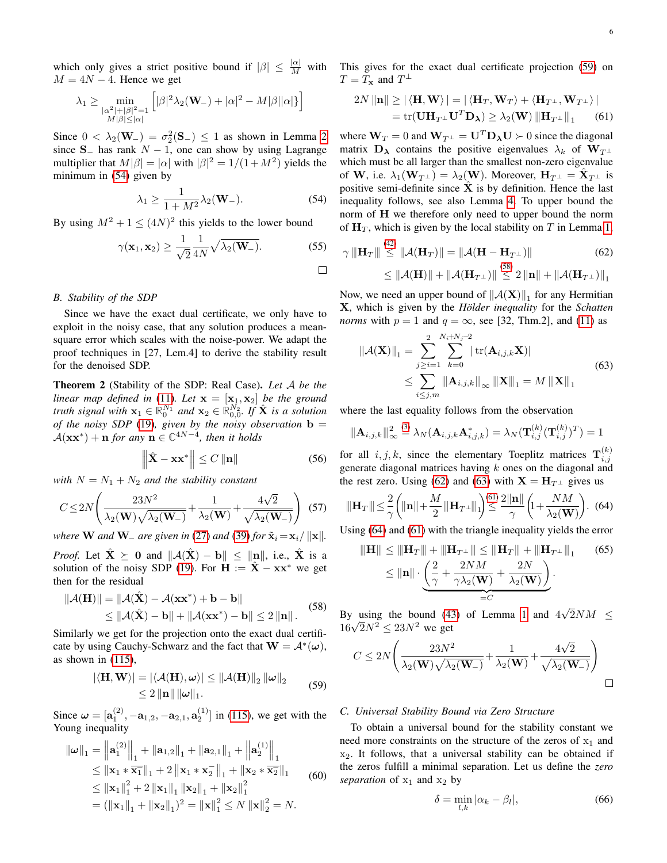which only gives a strict positive bound if  $|\beta| \leq \frac{|\alpha|}{M}$  with  $M = 4N - 4$ . Hence we get

$$
\lambda_1 \geq \min_{\substack{|\alpha^2|+|\beta|^2=1\\ M|\beta|\leq |\alpha|}} \left[|\beta|^2 \lambda_2(\mathbf{W}_-)+|\alpha|^2-M|\beta||\alpha|\} \right]
$$

Since  $0 < \lambda_2(\mathbf{W}_-) = \sigma_2^2(\mathbf{S}_-) \le 1$  as shown in Lemma [2](#page-8-2) since  $S_$  has rank  $N - 1$ , one can show by using Lagrange multiplier that  $M|\beta| = |\alpha|$  with  $|\beta|^2 = 1/(1 + M^2)$  yields the minimum in [\(54\)](#page-5-0) given by

$$
\lambda_1 \ge \frac{1}{1 + M^2} \lambda_2(\mathbf{W}_-). \tag{54}
$$

By using  $M^2 + 1 \leq (4N)^2$  this yields to the lower bound

$$
\gamma(\mathbf{x}_1, \mathbf{x}_2) \ge \frac{1}{\sqrt{2}} \frac{1}{4N} \sqrt{\lambda_2(\mathbf{W}_-)}.
$$
 (55)

#### *B. Stability of the SDP*

Since we have the exact dual certificate, we only have to exploit in the noisy case, that any solution produces a meansquare error which scales with the noise-power. We adapt the proof techniques in [27, Lem.4] to derive the stability result for the denoised SDP.

Theorem 2 (Stability of the SDP: Real Case). *Let* A *be the linear map defined in* [\(11\)](#page-1-1). Let  $\mathbf{x} = [\mathbf{x}_1, \mathbf{x}_2]$  be the ground *truth signal with*  $\mathbf{x}_1 \in \mathbb{R}_0^{N_1}$  and  $\mathbf{x}_2 \in \mathbb{R}_{0,0}^{N_2}$ . If  $\hat{\mathbf{X}}$  *is a solution of the noisy SDP* [\(19\)](#page-2-5)*, given by the noisy observation*  $\mathbf{b} =$  $\mathcal{A}(\mathbf{x}\mathbf{x}^*) + \mathbf{n}$  *for any*  $\mathbf{n} \in \mathbb{C}^{4N-4}$ *, then it holds* 

$$
\left\| \hat{\mathbf{X}} - \mathbf{x} \mathbf{x}^* \right\| \le C \left\| \mathbf{n} \right\|
$$
 (56)

*with*  $N = N_1 + N_2$  *and the stability constant* 

$$
C \le 2N \left( \frac{23N^2}{\lambda_2(\mathbf{W})\sqrt{\lambda_2(\mathbf{W}_-)}} + \frac{1}{\lambda_2(\mathbf{W})} + \frac{4\sqrt{2}}{\sqrt{\lambda_2(\mathbf{W}_-)}} \right) (57)
$$

*where* **W** *and* **W** *are given in* [\(27\)](#page-2-6) *and* [\(39\)](#page-3-8) *for*  $\tilde{\mathbf{x}}_i = \mathbf{x}_i / ||\mathbf{x}||$ *.* 

*Proof.* Let  $\hat{\mathbf{X}} \succeq \mathbf{0}$  and  $\|\mathcal{A}(\hat{\mathbf{X}}) - \mathbf{b}\| \leq \|\mathbf{n}\|$ , i.e.,  $\hat{\mathbf{X}}$  is a solution of the noisy SDP [\(19\)](#page-2-5). For  $H := \hat{X} - xx^*$  we get then for the residual

$$
\|\mathcal{A}(\mathbf{H})\| = \|\mathcal{A}(\hat{\mathbf{X}}) - \mathcal{A}(\mathbf{x}\mathbf{x}^*) + \mathbf{b} - \mathbf{b}\|
$$
  
\$\leq \|\mathcal{A}(\hat{\mathbf{X}}) - \mathbf{b}\| + \|\mathcal{A}(\mathbf{x}\mathbf{x}^\*) - \mathbf{b}\| \leq 2 \|\mathbf{n}\|.\$ (58)

Similarly we get for the projection onto the exact dual certificate by using Cauchy-Schwarz and the fact that  $\mathbf{W} = \mathcal{A}^*(\boldsymbol{\omega})$ , as shown in [\(115\)](#page-11-1),

$$
|\langle \mathbf{H}, \mathbf{W} \rangle| = |\langle \mathcal{A}(\mathbf{H}), \boldsymbol{\omega} \rangle| \le ||\mathcal{A}(\mathbf{H})||_2 ||\boldsymbol{\omega}||_2
$$
  
\$\leq 2 ||\mathbf{n}|| ||\boldsymbol{\omega}||\_1. \qquad (59)\$

Since  $\boldsymbol{\omega} = [\mathbf{a}_1^{(2)}, -\mathbf{a}_{1,2}, -\mathbf{a}_{2,1}, \mathbf{a}_2^{(1)}]$  in [\(115\)](#page-11-1), we get with the Young inequality

$$
\|\omega\|_1 = \left\| \mathbf{a}_1^{(2)} \right\|_1 + \|\mathbf{a}_{1,2}\|_1 + \left\| \mathbf{a}_{2,1} \right\|_1 + \left\| \mathbf{a}_2^{(1)} \right\|_1
$$
  
\n
$$
\leq \|\mathbf{x}_1 \ast \overline{\mathbf{x}_1}\|_1 + 2 \left\| \mathbf{x}_1 \ast \mathbf{x}_2 \right\|_1 + \left\| \mathbf{x}_2 \ast \overline{\mathbf{x}_2} \right\|_1
$$
  
\n
$$
\leq \|\mathbf{x}_1\|_1^2 + 2 \left\| \mathbf{x}_1 \right\|_1 \left\| \mathbf{x}_2 \right\|_1 + \left\| \mathbf{x}_2 \right\|_1^2
$$
  
\n
$$
= (\|\mathbf{x}_1\|_1 + \|\mathbf{x}_2\|_1)^2 = \|\mathbf{x}\|_1^2 \leq N \left\| \mathbf{x} \right\|_2^2 = N.
$$
 (60)

This gives for the exact dual certificate projection [\(59\)](#page-5-1) on  $T = T_{\mathbf{x}}$  and  $T^{\perp}$ 

<span id="page-5-5"></span>
$$
2N \|\mathbf{n}\| \ge |\langle \mathbf{H}, \mathbf{W} \rangle| = |\langle \mathbf{H}_T, \mathbf{W}_T \rangle + \langle \mathbf{H}_{T^{\perp}}, \mathbf{W}_{T^{\perp}} \rangle|
$$
  
= tr( $\mathbf{U} \mathbf{H}_{T^{\perp}} \mathbf{U}^T \mathbf{D}_{\lambda} \ge \lambda_2(\mathbf{W}) \| \mathbf{H}_{T^{\perp}} \|_1$  (61)

<span id="page-5-0"></span>where  $W_T = 0$  and  $W_{T^{\perp}} = U^T D_{\lambda} U \succ 0$  since the diagonal matrix  $\mathbf{D}_{\lambda}$  contains the positive eigenvalues  $\lambda_k$  of  $\mathbf{W}_{T^{\perp}}$ which must be all larger than the smallest non-zero eigenvalue of W, i.e.  $\lambda_1(\mathbf{W}_{T}^{\perp}) = \lambda_2(\mathbf{W})$ . Moreover,  $\mathbf{H}_{T^{\perp}} = \mathbf{\hat{X}}_{T^{\perp}}$  is positive semi-definite since  $\hat{\mathbf{X}}$  is by definition. Hence the last inequality follows, see also Lemma [4.](#page-11-2) To upper bound the norm of H we therefore only need to upper bound the norm of  $H_T$ , which is given by the local stability on T in Lemma [1,](#page-4-5)

<span id="page-5-3"></span>
$$
\gamma \|\mathbf{H}_T\| \stackrel{(42)}{\leq} \|\mathcal{A}(\mathbf{H}_T)\| = \|\mathcal{A}(\mathbf{H} - \mathbf{H}_{T^{\perp}})\|
$$
(62)  

$$
\leq \|\mathcal{A}(\mathbf{H})\| + \|\mathcal{A}(\mathbf{H}_{T^{\perp}})\| \stackrel{(58)}{\leq} 2 \|\mathbf{n}\| + \|\mathcal{A}(\mathbf{H}_{T^{\perp}})\|_1
$$

Now, we need an upper bound of  $||A(\mathbf{X})||_1$  for any Hermitian X, which is given by the *Hölder inequality* for the *Schatten norms* with  $p = 1$  and  $q = \infty$ , see [32, Thm.2], and [\(11\)](#page-1-1) as

<span id="page-5-4"></span>
$$
\|\mathcal{A}(\mathbf{X})\|_{1} = \sum_{j\geq i=1}^{2} \sum_{k=0}^{N_{i}+N_{j}-2} |\operatorname{tr}(\mathbf{A}_{i,j,k}\mathbf{X})|
$$
  
\$\leq \sum\_{i\leq j,m} \|\mathbf{A}\_{i,j,k}\|\_{\infty} \|\mathbf{X}\|\_{1} = M \|\mathbf{X}\|\_{1}\$ (63)

where the last equality follows from the observation

$$
\|\mathbf{A}_{i,j,k}\|_{\infty}^2 \stackrel{(3)}{=} \lambda_N(\mathbf{A}_{i,j,k}\mathbf{A}_{i,j,k}^*) = \lambda_N(\mathbf{T}_{i,j}^{(k)}(\mathbf{T}_{i,j}^{(k)})^T) = 1
$$

for all  $i, j, k$ , since the elementary Toeplitz matrices  $\mathbf{T}_{i,j}^{(k)}$ generate diagonal matrices having  $k$  ones on the diagonal and the rest zero. Using [\(62\)](#page-5-3) and [\(63\)](#page-5-4) with  $X = H_{T^{\perp}}$  gives us

<span id="page-5-8"></span>
$$
\|\mathbf{H}_T\| \le \frac{2}{\gamma} \left( \|\mathbf{n}\| + \frac{M}{2} \|\mathbf{H}_{T^{\perp}}\|_1 \right) \le \frac{2\|\mathbf{n}\|}{\gamma} \left( 1 + \frac{NM}{\lambda_2(\mathbf{W})} \right). \tag{64}
$$

Using [\(64\)](#page-5-6) and [\(61\)](#page-5-5) with the triangle inequality yields the error

<span id="page-5-6"></span>
$$
\|\mathbf{H}\| \le \|\mathbf{H}_T\| + \|\mathbf{H}_{T^{\perp}}\| \le \|\mathbf{H}_T\| + \|\mathbf{H}_{T^{\perp}}\|_1 \qquad (65)
$$
  

$$
\le \|\mathbf{n}\| \cdot \underbrace{\left(\frac{2}{\gamma} + \frac{2NM}{\gamma \lambda_2(\mathbf{W})} + \frac{2N}{\lambda_2(\mathbf{W})}\right)}_{=C}.
$$

<span id="page-5-2"></span>By using the bound [\(43\)](#page-4-7) of Lemma [1](#page-4-5) and 4 √  $2NM \leq$ By using the bound (4.<br> $16\sqrt{2}N^2 \le 23N^2$  we get

$$
C \leq 2N \Bigg( \frac{23N^2}{\lambda_2(\mathbf{W}) \sqrt{\lambda_2(\mathbf{W}_-)}} + \frac{1}{\lambda_2(\mathbf{W})} + \frac{4\sqrt{2}}{\sqrt{\lambda_2(\mathbf{W}_-)}} \Bigg) \square
$$

#### <span id="page-5-1"></span>*C. Universal Stability Bound via Zero Structure*

To obtain a universal bound for the stability constant we need more constraints on the structure of the zeros of  $x_1$  and  $x_2$ . It follows, that a universal stability can be obtained if the zeros fulfill a minimal separation. Let us define the *zero separation* of  $x_1$  and  $x_2$  by

<span id="page-5-7"></span>
$$
\delta = \min_{l,k} |\alpha_k - \beta_l|,\tag{66}
$$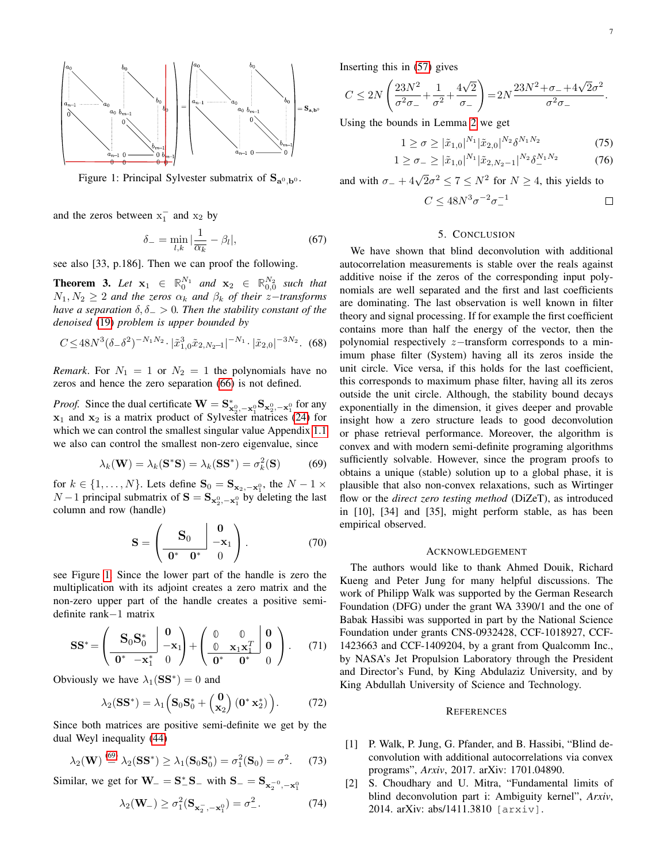<span id="page-6-0"></span>

Figure 1: Principal Sylvester submatrix of  $S_{a^0, b^0}$ .

and the zeros between  $x_1^-$  and  $x_2$  by

$$
\delta_{-} = \min_{l,k} |\frac{1}{\overline{\alpha_k}} - \beta_l|,\tag{67}
$$

see also [33, p.186]. Then we can proof the following.

**Theorem 3.** Let  $x_1 \in \mathbb{R}^{N_1}_0$  and  $x_2 \in \mathbb{R}^{N_2}_{0,0}$  such that  $N_1, N_2 \geq 2$  *and the zeros*  $\alpha_k$  *and*  $\beta_k$  *of their z*-*transforms have a separation*  $\delta, \delta$  > 0*. Then the stability constant of the denoised* [\(19\)](#page-2-5) *problem is upper bounded by*

$$
C \le 48N^3(\delta_-\delta^2)^{-N_1N_2} \cdot |\tilde{x}_{1,0}^3\tilde{x}_{2,N_2-1}|^{-N_1} \cdot |\tilde{x}_{2,0}|^{-3N_2}.\tag{68}
$$

*Remark*. For  $N_1 = 1$  or  $N_2 = 1$  the polynomials have no zeros and hence the zero separation [\(66\)](#page-5-7) is not defined.

*Proof.* Since the dual certificate  $\mathbf{W} = \mathbf{S}_{\mathbf{x}_2^0, -\mathbf{x}_1^0}^* \mathbf{S}_{\mathbf{x}_2^0, -\mathbf{x}_1^0}$  for any  $x_1$  and  $x_2$  is a matrix product of Sylvester matrices [\(24\)](#page-2-4) for which we can control the smallest singular value Appendix [1.1](#page-8-3) we also can control the smallest non-zero eigenvalue, since

$$
\lambda_k(\mathbf{W}) = \lambda_k(\mathbf{S}^*\mathbf{S}) = \lambda_k(\mathbf{S}\mathbf{S}^*) = \sigma_k^2(\mathbf{S})
$$
 (69)

for  $k \in \{1, ..., N\}$ . Lets define  $\mathbf{S}_0 = \mathbf{S}_{\mathbf{x}_2, -\mathbf{x}_1^0}$ , the  $N - 1 \times \mathbf{S}_0$  $N-1$  principal submatrix of  $S = S_{\mathbf{x}_2^0, -\mathbf{x}_1^0}$  by deleting the last column and row (handle)

$$
\mathbf{S} = \left(\begin{array}{c|c} \mathbf{S}_0 & \mathbf{0} \\ \hline \mathbf{0}^* & \mathbf{0}^* \end{array}\right). \tag{70}
$$

see Figure [1.](#page-6-0) Since the lower part of the handle is zero the multiplication with its adjoint creates a zero matrix and the non-zero upper part of the handle creates a positive semidefinite rank−1 matrix

$$
\mathbf{SS}^* = \left(\begin{array}{c|c} \mathbf{S}_0 \mathbf{S}_0^* & \mathbf{0} \\ \hline \mathbf{0}^* & -\mathbf{x}_1^* & 0 \end{array}\right) + \left(\begin{array}{c|c} \mathbf{0} & \mathbf{0} \\ \hline \mathbf{0} & \mathbf{x}_1 \mathbf{x}_1^T & \mathbf{0} \\ \hline \mathbf{0}^* & \mathbf{0}^* & 0 \end{array}\right). \tag{71}
$$

Obviously we have  $\lambda_1(SS^*) = 0$  and

 $\sqrt{6}$ 

$$
\lambda_2(\mathbf{S}\mathbf{S}^*) = \lambda_1 \Big(\mathbf{S}_0 \mathbf{S}_0^* + \begin{pmatrix} \mathbf{0} \\ \mathbf{x}_2 \end{pmatrix} (\mathbf{0}^* \mathbf{x}_2^*) \Big). \tag{72}
$$

Since both matrices are positive semi-definite we get by the dual Weyl inequality [\(44\)](#page-4-8)

$$
\lambda_2(\mathbf{W}) \stackrel{\text{(by)}}{=} \lambda_2(\mathbf{S}\mathbf{S}^*) \ge \lambda_1(\mathbf{S}_0\mathbf{S}_0^*) = \sigma_1^2(\mathbf{S}_0) = \sigma^2. \tag{73}
$$

Similar, we get for  $W_$  =  $S_{-}^{*}S_$  with  $S_$  =  $S_{\mathbf{x}_2^{-0}, -\mathbf{x}_1^{0}}$ 

$$
\lambda_2(\mathbf{W}_-) \ge \sigma_1^2(\mathbf{S}_{\mathbf{x}_2^-, -\mathbf{x}_1^0}) = \sigma_-^2.
$$
 (74)

Inserting this in [\(57\)](#page-5-8) gives

$$
C \le 2N\left(\frac{23N^2}{\sigma^2\sigma_-} + \frac{1}{\sigma^2} + \frac{4\sqrt{2}}{\sigma_-}\right) = 2N\frac{23N^2 + \sigma_- + 4\sqrt{2}\sigma^2}{\sigma^2\sigma_-}.
$$

Using the bounds in Lemma [2](#page-8-2) we get

$$
1 \ge \sigma \ge |\tilde{x}_{1,0}|^{N_1} |\tilde{x}_{2,0}|^{N_2} \delta^{N_1 N_2}
$$
\n(75)

$$
1 \geq \sigma_- \geq |\tilde{x}_{1,0}|^{N_1} |\tilde{x}_{2,N_2-1}|^{N_2} \delta_-^{N_1 N_2} \tag{76}
$$

and with  $\sigma_- + 4\sqrt{2}\sigma^2 \le 7 \le N^2$  for  $N \ge 4$ , this yields to

$$
C \le 48N^3 \sigma^{-2} \sigma_-^{-1} \qquad \qquad \Box
$$

# 5. CONCLUSION

We have shown that blind deconvolution with additional autocorrelation measurements is stable over the reals against additive noise if the zeros of the corresponding input polynomials are well separated and the first and last coefficients are dominating. The last observation is well known in filter theory and signal processing. If for example the first coefficient contains more than half the energy of the vector, then the polynomial respectively z−transform corresponds to a minimum phase filter (System) having all its zeros inside the unit circle. Vice versa, if this holds for the last coefficient, this corresponds to maximum phase filter, having all its zeros outside the unit circle. Although, the stability bound decays exponentially in the dimension, it gives deeper and provable insight how a zero structure leads to good deconvolution or phase retrieval performance. Moreover, the algorithm is convex and with modern semi-definite programing algorithms sufficiently solvable. However, since the program proofs to obtains a unique (stable) solution up to a global phase, it is plausible that also non-convex relaxations, such as Wirtinger flow or the *direct zero testing method* (DiZeT), as introduced in [10], [34] and [35], might perform stable, as has been empirical observed.

#### ACKNOWLEDGEMENT

<span id="page-6-1"></span>The authors would like to thank Ahmed Douik, Richard Kueng and Peter Jung for many helpful discussions. The work of Philipp Walk was supported by the German Research Foundation (DFG) under the grant WA 3390/1 and the one of Babak Hassibi was supported in part by the National Science Foundation under grants CNS-0932428, CCF-1018927, CCF-1423663 and CCF-1409204, by a grant from Qualcomm Inc., by NASA's Jet Propulsion Laboratory through the President and Director's Fund, by King Abdulaziz University, and by King Abdullah University of Science and Technology.

## **REFERENCES**

- [1] P. Walk, P. Jung, G. Pfander, and B. Hassibi, "Blind deconvolution with additional autocorrelations via convex programs", *Arxiv*, 2017. arXiv: 1701.04890.
- [2] S. Choudhary and U. Mitra, "Fundamental limits of blind deconvolution part i: Ambiguity kernel", *Arxiv*, 2014. arXiv: abs/1411.3810 [arxiv].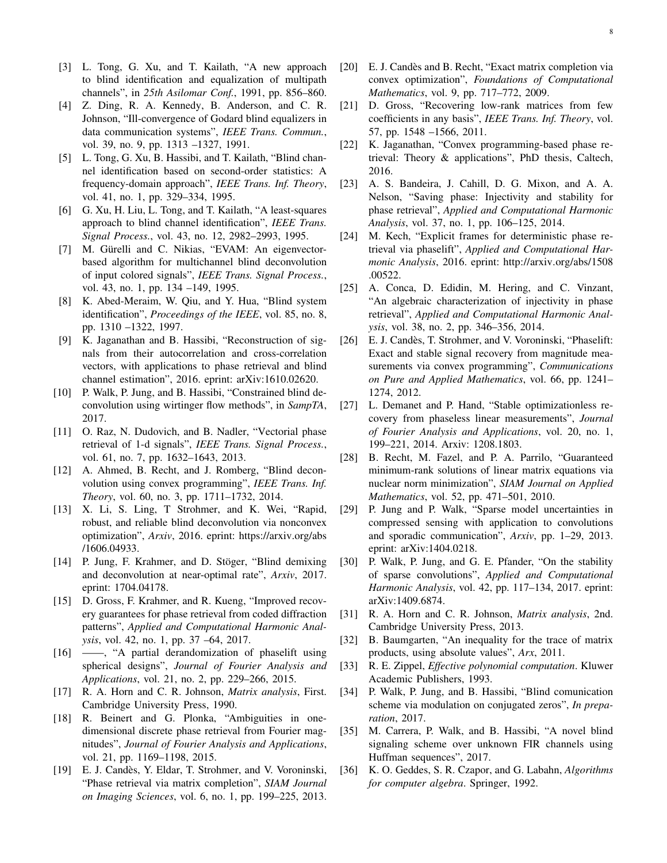- [3] L. Tong, G. Xu, and T. Kailath, "A new approach to blind identification and equalization of multipath channels", in *25th Asilomar Conf.*, 1991, pp. 856–860.
- [4] Z. Ding, R. A. Kennedy, B. Anderson, and C. R. Johnson, "Ill-convergence of Godard blind equalizers in data communication systems", *IEEE Trans. Commun.*, vol. 39, no. 9, pp. 1313 -1327, 1991.
- [5] L. Tong, G. Xu, B. Hassibi, and T. Kailath, "Blind channel identification based on second-order statistics: A frequency-domain approach", *IEEE Trans. Inf. Theory*, vol. 41, no. 1, pp. 329–334, 1995.
- [6] G. Xu, H. Liu, L. Tong, and T. Kailath, "A least-squares approach to blind channel identification", *IEEE Trans. Signal Process.*, vol. 43, no. 12, 2982–2993, 1995.
- [7] M. Gürelli and C. Nikias, "EVAM: An eigenvectorbased algorithm for multichannel blind deconvolution of input colored signals", *IEEE Trans. Signal Process.*, vol. 43, no. 1, pp. 134 –149, 1995.
- [8] K. Abed-Meraim, W. Qiu, and Y. Hua, "Blind system identification", *Proceedings of the IEEE*, vol. 85, no. 8, pp. 1310 –1322, 1997.
- [9] K. Jaganathan and B. Hassibi, "Reconstruction of signals from their autocorrelation and cross-correlation vectors, with applications to phase retrieval and blind channel estimation", 2016. eprint: arXiv:1610.02620.
- [10] P. Walk, P. Jung, and B. Hassibi, "Constrained blind deconvolution using wirtinger flow methods", in *SampTA*, 2017.
- [11] O. Raz, N. Dudovich, and B. Nadler, "Vectorial phase retrieval of 1-d signals", *IEEE Trans. Signal Process.*, vol. 61, no. 7, pp. 1632–1643, 2013.
- [12] A. Ahmed, B. Recht, and J. Romberg, "Blind deconvolution using convex programming", *IEEE Trans. Inf. Theory*, vol. 60, no. 3, pp. 1711–1732, 2014.
- [13] X. Li, S. Ling, T Strohmer, and K. Wei, "Rapid, robust, and reliable blind deconvolution via nonconvex optimization", *Arxiv*, 2016. eprint: https://arxiv.org/abs /1606.04933.
- [14] P. Jung, F. Krahmer, and D. Stöger, "Blind demixing and deconvolution at near-optimal rate", *Arxiv*, 2017. eprint: 1704.04178.
- [15] D. Gross, F. Krahmer, and R. Kueng, "Improved recovery guarantees for phase retrieval from coded diffraction patterns", *Applied and Computational Harmonic Analysis*, vol. 42, no. 1, pp. 37 –64, 2017.
- [16] ——, "A partial derandomization of phaselift using spherical designs", *Journal of Fourier Analysis and Applications*, vol. 21, no. 2, pp. 229–266, 2015.
- [17] R. A. Horn and C. R. Johnson, *Matrix analysis*, First. Cambridge University Press, 1990.
- [18] R. Beinert and G. Plonka, "Ambiguities in onedimensional discrete phase retrieval from Fourier magnitudes", *Journal of Fourier Analysis and Applications*, vol. 21, pp. 1169–1198, 2015.
- [19] E. J. Candès, Y. Eldar, T. Strohmer, and V. Voroninski, "Phase retrieval via matrix completion", *SIAM Journal on Imaging Sciences*, vol. 6, no. 1, pp. 199–225, 2013.
- [20] E. J. Candès and B. Recht, "Exact matrix completion via convex optimization", *Foundations of Computational Mathematics*, vol. 9, pp. 717–772, 2009.
- [21] D. Gross, "Recovering low-rank matrices from few coefficients in any basis", *IEEE Trans. Inf. Theory*, vol. 57, pp. 1548 –1566, 2011.
- [22] K. Jaganathan, "Convex programming-based phase retrieval: Theory & applications", PhD thesis, Caltech, 2016.
- [23] A. S. Bandeira, J. Cahill, D. G. Mixon, and A. A. Nelson, "Saving phase: Injectivity and stability for phase retrieval", *Applied and Computational Harmonic Analysis*, vol. 37, no. 1, pp. 106–125, 2014.
- [24] M. Kech, "Explicit frames for deterministic phase retrieval via phaselift", *Applied and Computational Harmonic Analysis*, 2016. eprint: http://arxiv.org/abs/1508 .00522.
- [25] A. Conca, D. Edidin, M. Hering, and C. Vinzant, "An algebraic characterization of injectivity in phase retrieval", *Applied and Computational Harmonic Analysis*, vol. 38, no. 2, pp. 346–356, 2014.
- [26] E. J. Candès, T. Strohmer, and V. Voroninski, "Phaselift: Exact and stable signal recovery from magnitude measurements via convex programming", *Communications on Pure and Applied Mathematics*, vol. 66, pp. 1241– 1274, 2012.
- [27] L. Demanet and P. Hand, "Stable optimizationless recovery from phaseless linear measurements", *Journal of Fourier Analysis and Applications*, vol. 20, no. 1, 199–221, 2014. Arxiv: 1208.1803.
- [28] B. Recht, M. Fazel, and P. A. Parrilo, "Guaranteed minimum-rank solutions of linear matrix equations via nuclear norm minimization", *SIAM Journal on Applied Mathematics*, vol. 52, pp. 471–501, 2010.
- [29] P. Jung and P. Walk, "Sparse model uncertainties in compressed sensing with application to convolutions and sporadic communication", *Arxiv*, pp. 1–29, 2013. eprint: arXiv:1404.0218.
- [30] P. Walk, P. Jung, and G. E. Pfander, "On the stability of sparse convolutions", *Applied and Computational Harmonic Analysis*, vol. 42, pp. 117–134, 2017. eprint: arXiv:1409.6874.
- [31] R. A. Horn and C. R. Johnson, *Matrix analysis*, 2nd. Cambridge University Press, 2013.
- [32] B. Baumgarten, "An inequality for the trace of matrix products, using absolute values", *Arx*, 2011.
- [33] R. E. Zippel, *Effective polynomial computation*. Kluwer Academic Publishers, 1993.
- [34] P. Walk, P. Jung, and B. Hassibi, "Blind comunication scheme via modulation on conjugated zeros", *In preparation*, 2017.
- [35] M. Carrera, P. Walk, and B. Hassibi, "A novel blind signaling scheme over unknown FIR channels using Huffman sequences", 2017.
- [36] K. O. Geddes, S. R. Czapor, and G. Labahn, *Algorithms for computer algebra*. Springer, 1992.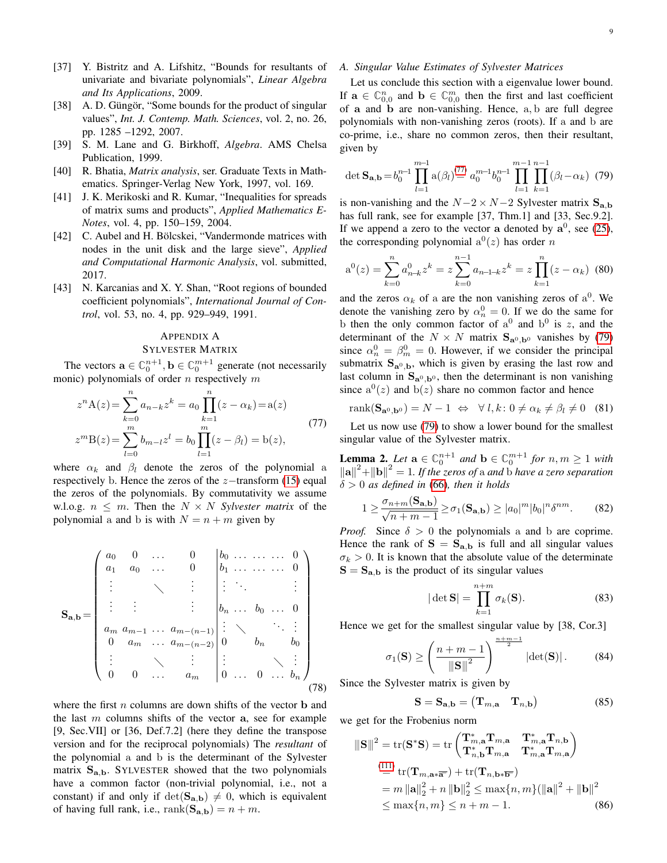- [37] Y. Bistritz and A. Lifshitz, "Bounds for resultants of univariate and bivariate polynomials", *Linear Algebra and Its Applications*, 2009.
- [38] A. D. Güngör, "Some bounds for the product of singular values", *Int. J. Contemp. Math. Sciences*, vol. 2, no. 26, pp. 1285 –1292, 2007.
- [39] S. M. Lane and G. Birkhoff, *Algebra*. AMS Chelsa Publication, 1999.
- [40] R. Bhatia, *Matrix analysis*, ser. Graduate Texts in Mathematics. Springer-Verlag New York, 1997, vol. 169.
- [41] J. K. Merikoski and R. Kumar, "Inequalities for spreads of matrix sums and products", *Applied Mathematics E-Notes*, vol. 4, pp. 150–159, 2004.
- [42] C. Aubel and H. Bölcskei, "Vandermonde matrices with nodes in the unit disk and the large sieve", *Applied and Computational Harmonic Analysis*, vol. submitted, 2017.
- [43] N. Karcanias and X. Y. Shan, "Root regions of bounded coefficient polynomials", *International Journal of Control*, vol. 53, no. 4, pp. 929–949, 1991.

# <span id="page-8-0"></span>APPENDIX A SYLVESTER MATRIX

The vectors  $\mathbf{a} \in \mathbb{C}_0^{n+1}$ ,  $\mathbf{b} \in \mathbb{C}_0^{m+1}$  generate (not necessarily monic) polynomials of order  $n$  respectively  $m$ 

$$
z^{n} A(z) = \sum_{k=0}^{n} a_{n-k} z^{k} = a_0 \prod_{k=1}^{n} (z - \alpha_k) = a(z)
$$
  
\n
$$
z^{m} B(z) = \sum_{l=0}^{m} b_{m-l} z^{l} = b_0 \prod_{l=1}^{m} (z - \beta_l) = b(z),
$$
\n(77)

where  $\alpha_k$  and  $\beta_l$  denote the zeros of the polynomial a respectively b. Hence the zeros of the  $z$ −transform [\(15\)](#page-2-7) equal the zeros of the polynomials. By commutativity we assume w.l.o.g.  $n \leq m$ . Then the  $N \times N$  *Sylvester matrix* of the polynomial a and b is with  $N = n + m$  given by

$$
\mathbf{S}_{\mathbf{a},\mathbf{b}} = \begin{pmatrix} a_0 & 0 & \dots & 0 & b_0 & \dots & \dots & 0 \\ a_1 & a_0 & \dots & 0 & b_1 & \dots & \dots & 0 \\ \vdots & \ddots & \vdots & \vdots & \ddots & \vdots & \vdots \\ a_m & a_{m-1} & \dots & a_{m-(n-1)} & \vdots & \ddots & \vdots \\ 0 & a_m & \dots & a_{m-(n-2)} & 0 & b_n & b_0 \\ \vdots & \ddots & \vdots & \vdots & \ddots & \vdots \\ 0 & 0 & \dots & a_m & 0 & \dots & 0 & \dots & b_n \end{pmatrix}
$$
(78)

where the first  $n$  columns are down shifts of the vector  $\bf{b}$  and the last  $m$  columns shifts of the vector  $a$ , see for example [9, Sec.VII] or [36, Def.7.2] (here they define the transpose version and for the reciprocal polynomials) The *resultant* of the polynomial a and b is the determinant of the Sylvester matrix  $S_{a,b}$ . SYLVESTER showed that the two polynomials have a common factor (non-trivial polynomial, i.e., not a constant) if and only if  $\det(\mathbf{S}_{a,b}) \neq 0$ , which is equivalent of having full rank, i.e.,  $\text{rank}(\mathbf{S}_{a,b}) = n + m$ .

## <span id="page-8-3"></span>*A. Singular Value Estimates of Sylvester Matrices*

Let us conclude this section with a eigenvalue lower bound. If  $\mathbf{a} \in \mathbb{C}_{0,0}^n$  and  $\mathbf{b} \in \mathbb{C}_{0,0}^m$  then the first and last coefficient of a and b are non-vanishing. Hence, a, b are full degree polynomials with non-vanishing zeros (roots). If a and b are co-prime, i.e., share no common zeros, then their resultant, given by

<span id="page-8-5"></span>
$$
\det \mathbf{S}_{\mathbf{a},\mathbf{b}} = b_0^{n-1} \prod_{l=1}^{m-1} a(\beta_l)^{(77)} \ a_0^{m-1} b_0^{n-1} \prod_{l=1}^{m-1} \prod_{k=1}^{n-1} (\beta_l - \alpha_k) \tag{79}
$$

is non-vanishing and the  $N-2 \times N-2$  Sylvester matrix  $S_{a,b}$ has full rank, see for example [37, Thm.1] and [33, Sec.9.2]. If we append a zero to the vector a denoted by  $a^0$ , see [\(25\)](#page-2-8), the corresponding polynomial  $a^0(z)$  has order n

$$
a^{0}(z) = \sum_{k=0}^{n} a_{n-k}^{0} z^{k} = z \sum_{k=0}^{n-1} a_{n-1-k} z^{k} = z \prod_{k=1}^{n} (z - \alpha_{k}) \tag{80}
$$

and the zeros  $\alpha_k$  of a are the non vanishing zeros of  $a^0$ . We denote the vanishing zero by  $\alpha_n^0 = 0$ . If we do the same for b then the only common factor of  $a^0$  and  $b^0$  is z, and the determinant of the  $N \times N$  matrix  $S_{a^0, b^0}$  vanishes by [\(79\)](#page-8-5) since  $\alpha_n^0 = \beta_m^0 = 0$ . However, if we consider the principal submatrix  $S_{a^0,b}$ , which is given by erasing the last row and last column in  $S_{a^0, b^0}$ , then the determinant is non vanishing since  $a^0(z)$  and  $b(z)$  share no common factor and hence

<span id="page-8-1"></span>
$$
rank(\mathbf{S}_{\mathbf{a}^0, \mathbf{b}^0}) = N - 1 \iff \forall l, k \colon 0 \neq \alpha_k \neq \beta_l \neq 0 \quad (81)
$$

<span id="page-8-4"></span>Let us now use [\(79\)](#page-8-5) to show a lower bound for the smallest singular value of the Sylvester matrix.

<span id="page-8-2"></span>**Lemma 2.** Let  $\mathbf{a} \in \mathbb{C}_0^{n+1}$  and  $\mathbf{b} \in \mathbb{C}_0^{m+1}$  for  $n, m \ge 1$  with  $\|\mathbf{a}\|^2 + \|\mathbf{b}\|^2 = 1$ . If the zeros of a and  $\ddot{\mathbf{b}}$  have a zero separation δ > 0 *as defined in* [\(66\)](#page-5-7)*, then it holds*

$$
1 \ge \frac{\sigma_{n+m}(\mathbf{S}_{\mathbf{a},\mathbf{b}})}{\sqrt{n+m-1}} \ge \sigma_1(\mathbf{S}_{\mathbf{a},\mathbf{b}}) \ge |a_0|^m |b_0|^n \delta^{nm}.
$$
 (82)

*Proof.* Since  $\delta > 0$  the polynomials a and b are coprime. Hence the rank of  $S = S_{a,b}$  is full and all singular values  $\sigma_k > 0$ . It is known that the absolute value of the determinate  $S = S_{a,b}$  is the product of its singular values

<span id="page-8-7"></span>
$$
|\det \mathbf{S}| = \prod_{k=1}^{n+m} \sigma_k(\mathbf{S}).
$$
 (83)

Hence we get for the smallest singular value by [38, Cor.3]

$$
\sigma_1(\mathbf{S}) \ge \left(\frac{n+m-1}{\|\mathbf{S}\|^2}\right)^{\frac{n+m-1}{2}} |\det(\mathbf{S})|.
$$
 (84)

Since the Sylvester matrix is given by

<span id="page-8-6"></span>
$$
\mathbf{S} = \mathbf{S}_{\mathbf{a},\mathbf{b}} = (\mathbf{T}_{m,\mathbf{a}} \quad \mathbf{T}_{n,\mathbf{b}}) \tag{85}
$$

we get for the Frobenius norm

$$
\|\mathbf{S}\|^2 = \text{tr}(\mathbf{S}^*\mathbf{S}) = \text{tr}\begin{pmatrix} \mathbf{T}^*_{m,\mathbf{a}}\mathbf{T}_{m,\mathbf{a}} & \mathbf{T}^*_{m,\mathbf{a}}\mathbf{T}_{n,\mathbf{b}}\\ \mathbf{T}^*_{n,\mathbf{b}}\mathbf{T}_{m,\mathbf{a}} & \mathbf{T}^*_{m,\mathbf{a}}\mathbf{T}_{m,\mathbf{a}} \end{pmatrix}
$$
  
\n
$$
\stackrel{\text{(111)}}{=} \text{tr}(\mathbf{T}_{m,\mathbf{a}*\overline{\mathbf{a}}}) + \text{tr}(\mathbf{T}_{n,\mathbf{b}*\overline{\mathbf{b}}})
$$
  
\n
$$
= m \|\mathbf{a}\|_2^2 + n \|\mathbf{b}\|_2^2 \le \max\{n, m\} (\|\mathbf{a}\|^2 + \|\mathbf{b}\|^2)
$$
  
\n
$$
\le \max\{n, m\} \le n + m - 1.
$$
 (86)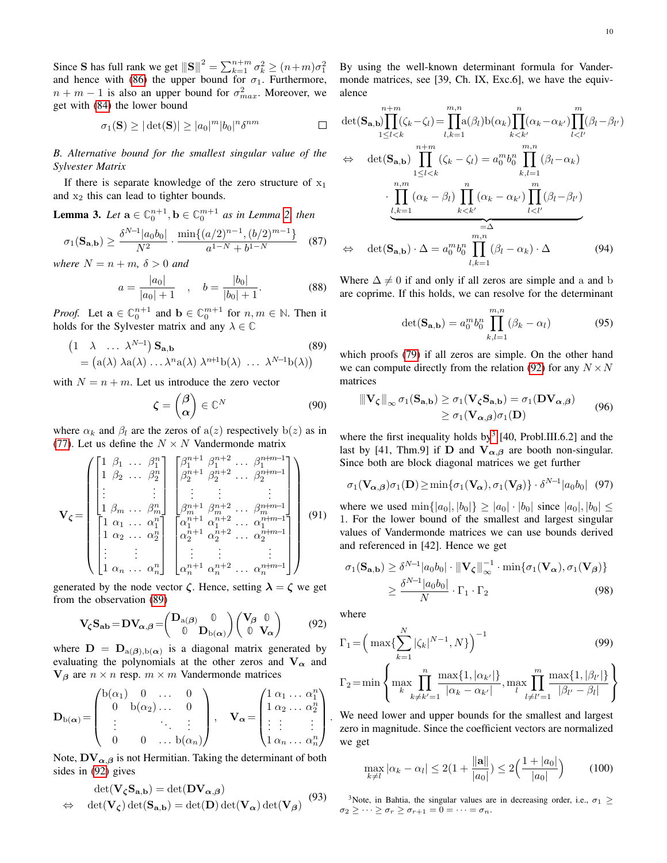Since S has full rank we get  $||S||^2 = \sum_{k=1}^{n+m} \sigma_k^2 \ge (n+m)\sigma_1^2$ and hence with [\(86\)](#page-8-6) the upper bound for  $\sigma_1$ . Furthermore,  $n + m - 1$  is also an upper bound for  $\sigma_{max}^2$ . Moreover, we get with [\(84\)](#page-8-7) the lower bound

$$
\sigma_1(\mathbf{S}) \ge |\det(\mathbf{S})| \ge |a_0|^m |b_0|^n \delta^{nm} \qquad \Box
$$

*B. Alternative bound for the smallest singular value of the Sylvester Matrix*

If there is separate knowledge of the zero structure of  $x_1$ and  $x_2$  this can lead to tighter bounds.

**Lemma 3.** Let  $\mathbf{a} \in \mathbb{C}_0^{n+1}$ ,  $\mathbf{b} \in \mathbb{C}_0^{m+1}$  as in Lemma [2,](#page-8-2) then

$$
\sigma_1(\mathbf{S}_{\mathbf{a},\mathbf{b}}) \ge \frac{\delta^{N-1} |a_0 b_0|}{N^2} \cdot \frac{\min\{(a/2)^{n-1}, (b/2)^{m-1}\}}{a^{1-N} + b^{1-N}} \quad (87)
$$

*where*  $N = n + m$ ,  $\delta > 0$  *and* 

$$
a = \frac{|a_0|}{|a_0| + 1} \quad , \quad b = \frac{|b_0|}{|b_0| + 1}.
$$
 (88)

*Proof.* Let  $\mathbf{a} \in \mathbb{C}_0^{n+1}$  and  $\mathbf{b} \in \mathbb{C}_0^{m+1}$  for  $n, m \in \mathbb{N}$ . Then it holds for the Sylvester matrix and any  $\lambda \in \mathbb{C}$ 

$$
\begin{aligned} \left(1 \quad \lambda \quad \dots \; \lambda^{N-1}\right) \mathbf{S}_{\mathbf{a},\mathbf{b}} & \qquad (89) \\ &= \left(\mathbf{a}(\lambda) \; \lambda \mathbf{a}(\lambda) \; \dots \lambda^{n} \mathbf{a}(\lambda) \; \lambda^{n+1} \mathbf{b}(\lambda) \; \dots \; \lambda^{N-1} \mathbf{b}(\lambda)\right) \end{aligned}
$$

with  $N = n + m$ . Let us introduce the zero vector

$$
\zeta = \begin{pmatrix} \beta \\ \alpha \end{pmatrix} \in \mathbb{C}^N \tag{90}
$$

where  $\alpha_k$  and  $\beta_l$  are the zeros of  $a(z)$  respectively  $b(z)$  as in [\(77\)](#page-8-4). Let us define the  $N \times N$  Vandermonde matrix

$$
\mathbf{V}_{\zeta} = \begin{pmatrix} \begin{bmatrix} 1 & \beta_1 & \cdots & \beta_1^n \\ 1 & \beta_2 & \cdots & \beta_2^n \\ \vdots & & & \vdots \\ 1 & \beta_m & \cdots & \beta_m^n \end{bmatrix} & \begin{bmatrix} \beta_1^{n+1} & \beta_1^{n+2} & \cdots & \beta_1^{n+m-1} \\ \beta_2^{n+1} & \beta_2^{n+2} & \cdots & \beta_2^{n+m-1} \\ \vdots & & & \vdots \\ \beta_m^{n+1} & \beta_m^{n+2} & \cdots & \beta_m^{n+m-1} \\ \vdots & & & \vdots \\ 1 & \alpha_1 & \cdots & \alpha_1^n \\ 1 & \alpha_2 & \cdots & \alpha_2^n \end{bmatrix} & \begin{bmatrix} \alpha_1^{n+1} & \alpha_1^{n+2} & \cdots & \alpha_1^{n+m-1} \\ \alpha_1^{n+1} & \alpha_1^{n+2} & \cdots & \alpha_1^{n+m-1} \\ \alpha_2^{n+1} & \alpha_2^{n+2} & \cdots & \alpha_2^{n+m-1} \\ \vdots & & & \vdots \\ \alpha_n^{n+1} & \alpha_n^{n+2} & \cdots & \alpha_n^{n+m-1} \end{bmatrix} \end{pmatrix} \tag{91}
$$

generated by the node vector  $\zeta$ . Hence, setting  $\lambda = \zeta$  we get from the observation [\(89\)](#page-9-0)

$$
\mathbf{V}_{\zeta}\mathbf{S}_{\mathbf{a}\mathbf{b}} = \mathbf{D}\mathbf{V}_{\alpha,\beta} = \begin{pmatrix} \mathbf{D}_{\mathbf{a}(\beta)} & \mathbf{0} \\ \mathbf{0} & \mathbf{D}_{\mathbf{b}(\alpha)} \end{pmatrix} \begin{pmatrix} \mathbf{V}_{\beta} & \mathbf{0} \\ \mathbf{0} & \mathbf{V}_{\alpha} \end{pmatrix}
$$
(92)

where  $\mathbf{D} = \mathbf{D}_{a(\boldsymbol{\beta}),b(\boldsymbol{\alpha})}$  is a diagonal matrix generated by evaluating the polynomials at the other zeros and  $V_{\alpha}$  and  $V_\beta$  are  $n \times n$  resp.  $m \times m$  Vandermonde matrices

$$
\mathbf{D}_{b(\alpha)} = \begin{pmatrix} b(\alpha_1) & 0 & \dots & 0 \\ 0 & b(\alpha_2) & \dots & 0 \\ \vdots & & \ddots & \vdots \\ 0 & 0 & \dots & b(\alpha_n) \end{pmatrix}, \quad \mathbf{V}_{\alpha} = \begin{pmatrix} 1 & \alpha_1 & \dots & \alpha_1^n \\ 1 & \alpha_2 & \dots & \alpha_2^n \\ \vdots & \vdots & & \vdots \\ 1 & \alpha_n & \dots & \alpha_n^n \end{pmatrix}
$$

Note,  $\mathbf{D} \mathbf{V}_{\alpha,\beta}$  is not Hermitian. Taking the determinant of both sides in [\(92\)](#page-9-1) gives

$$
\det(\mathbf{V}_{\zeta}\mathbf{S}_{\mathbf{a},\mathbf{b}}) = \det(\mathbf{D}\mathbf{V}_{\alpha,\beta})
$$
  

$$
\Leftrightarrow \det(\mathbf{V}_{\zeta}) \det(\mathbf{S}_{\mathbf{a},\mathbf{b}}) = \det(\mathbf{D}) \det(\mathbf{V}_{\alpha}) \det(\mathbf{V}_{\beta})
$$
(93)

By using the well-known determinant formula for Vandermonde matrices, see [39, Ch. IX, Exc.6], we have the equivalence

$$
\det(\mathbf{S}_{\mathbf{a},\mathbf{b}}) \prod_{1 \leq l < k}^{n+m} (\zeta_k - \zeta_l) = \prod_{l,k=1}^{m,n} a(\beta_l) b(\alpha_k) \prod_{k < k'}^{n} (\alpha_k - \alpha_{k'}) \prod_{l < l'}^{m} (\beta_l - \beta_{l'})
$$
\n
$$
\Leftrightarrow \det(\mathbf{S}_{\mathbf{a},\mathbf{b}}) \prod_{1 \leq l < k}^{n+m} (\zeta_k - \zeta_l) = a_0^m b_0^n \prod_{k,l=1}^{m,n} (\beta_l - \alpha_k)
$$
\n
$$
\cdot \prod_{\substack{l,k=1}}^{n,m} (\alpha_k - \beta_l) \prod_{k < k'}^{n} (\alpha_k - \alpha_{k'}) \prod_{l < l'}^{m} (\beta_l - \beta_{l'})
$$
\n
$$
\Leftrightarrow \det(\mathbf{S}_{\mathbf{a},\mathbf{b}}) \cdot \Delta = a_0^m b_0^n \prod_{l,k=1}^{m,n} (\beta_l - \alpha_k) \cdot \Delta \qquad (94)
$$

Where  $\Delta \neq 0$  if and only if all zeros are simple and a and b are coprime. If this holds, we can resolve for the determinant

$$
\det(\mathbf{S}_{\mathbf{a},\mathbf{b}}) = a_0^m b_0^n \prod_{k,l=1}^{m,n} (\beta_k - \alpha_l)
$$
 (95)

<span id="page-9-0"></span>which proofs [\(79\)](#page-8-5) if all zeros are simple. On the other hand we can compute directly from the relation [\(92\)](#page-9-1) for any  $N \times N$ matrices

$$
\|\mathbf{V}_{\zeta}\|_{\infty} \sigma_1(\mathbf{S}_{\mathbf{a},\mathbf{b}}) \ge \sigma_1(\mathbf{V}_{\zeta} \mathbf{S}_{\mathbf{a},\mathbf{b}}) = \sigma_1(\mathbf{D} \mathbf{V}_{\alpha,\beta})
$$
  
\n
$$
\ge \sigma_1(\mathbf{V}_{\alpha,\beta}) \sigma_1(\mathbf{D})
$$
\n(96)

where the first inequality holds by<sup>[3](#page-9-2)</sup> [40, Probl.III.6.2] and the last by [41, Thm.9] if D and  $V_{\alpha,\beta}$  are booth non-singular. Since both are block diagonal matrices we get further

$$
\sigma_1(\mathbf{V}_{\boldsymbol{\alpha},\boldsymbol{\beta}})\sigma_1(\mathbf{D}) \ge \min\{\sigma_1(\mathbf{V}_{\boldsymbol{\alpha}}),\sigma_1(\mathbf{V}_{\boldsymbol{\beta}})\}\cdot \delta^{N-1}|a_0b_0| \quad (97)
$$

where we used  $\min\{|a_0|, |b_0|\} \geq |a_0| \cdot |b_0|$  since  $|a_0|, |b_0| \leq$ 1. For the lower bound of the smallest and largest singular values of Vandermonde matrices we can use bounds derived and referenced in [42]. Hence we get

$$
\sigma_1(\mathbf{S}_{\mathbf{a},\mathbf{b}}) \ge \delta^{N-1} |a_0 b_0| \cdot ||\mathbf{V}_{\zeta}||_{\infty}^{-1} \cdot \min\{\sigma_1(\mathbf{V}_{\alpha}), \sigma_1(\mathbf{V}_{\beta})\}
$$
  
 
$$
\ge \frac{\delta^{N-1} |a_0 b_0|}{N} \cdot \Gamma_1 \cdot \Gamma_2
$$
 (98)

<span id="page-9-1"></span>where

$$
\Gamma_1 = \left(\max\{\sum_{k=1}^N |\zeta_k|^{N-1}, N\}\right)^{-1}
$$
\n(99)

$$
\Gamma_2 = \min \left\{ \max_{k} \prod_{k \neq k'=1}^{n} \frac{\max\{1, |\alpha_{k'}|\}}{|\alpha_k - \alpha_{k'}|}, \max_{l} \prod_{l \neq l'=1}^{m} \frac{\max\{1, |\beta_{l'}|\}}{|\beta_{l'} - \beta_l|} \right\}
$$

. We need lower and upper bounds for the smallest and largest zero in magnitude. Since the coefficient vectors are normalized we get

$$
\max_{k \neq l} |\alpha_k - \alpha_l| \leq 2(1 + \frac{\|\mathbf{a}\|}{|a_0|}) \leq 2\Big(\frac{1 + |a_0|}{|a_0|}\Big) \tag{100}
$$

<span id="page-9-2"></span><sup>3</sup>Note, in Bahtia, the singular values are in decreasing order, i.e.,  $\sigma_1 \geq$  $\sigma_2 \geq \cdots \geq \sigma_r \geq \sigma_{r+1} = 0 = \cdots = \sigma_n.$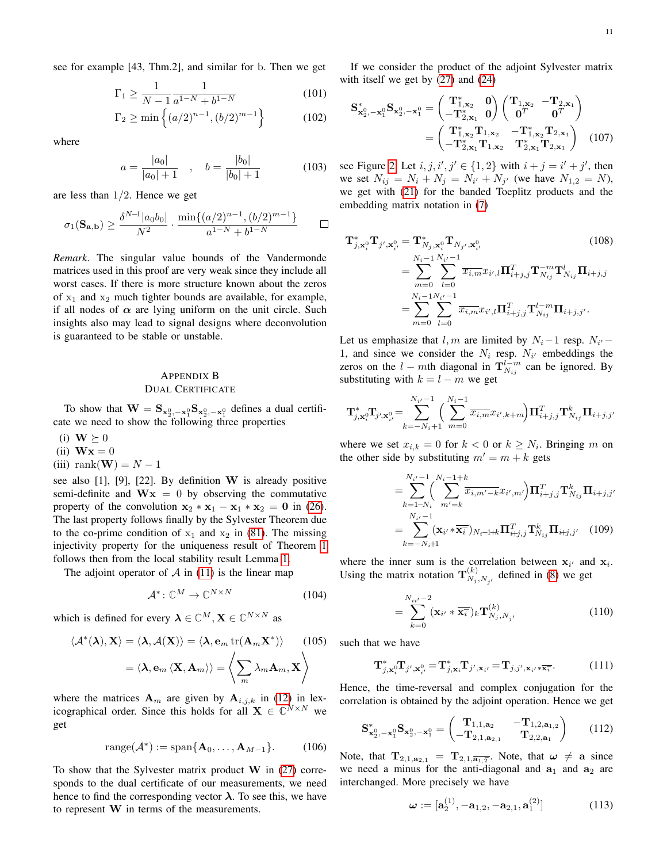see for example [43, Thm.2], and similar for b. Then we get

$$
\Gamma_1 \ge \frac{1}{N-1} \frac{1}{a^{1-N} + b^{1-N}}
$$
\n(101)

$$
\Gamma_2 \ge \min\left\{ (a/2)^{n-1}, (b/2)^{m-1} \right\} \tag{102}
$$

where

$$
a = \frac{|a_0|}{|a_0| + 1} \quad , \quad b = \frac{|b_0|}{|b_0| + 1} \tag{103}
$$

are less than  $1/2$ . Hence we get

$$
\sigma_1(\mathbf{S}_{\mathbf{a},\mathbf{b}}) \ge \frac{\delta^{N-1} |a_0 b_0|}{N^2} \cdot \frac{\min\{(a/2)^{n-1}, (b/2)^{m-1}\}}{a^{1-N} + b^{1-N}}
$$

*Remark*. The singular value bounds of the Vandermonde matrices used in this proof are very weak since they include all worst cases. If there is more structure known about the zeros of  $x_1$  and  $x_2$  much tighter bounds are available, for example, if all nodes of  $\alpha$  are lying uniform on the unit circle. Such insights also may lead to signal designs where deconvolution is guaranteed to be stable or unstable.

## <span id="page-10-0"></span>APPENDIX B DUAL CERTIFICATE

To show that  $\mathbf{W} = \mathbf{S}_{\mathbf{x}_2^0, -\mathbf{x}_1^0} \mathbf{S}_{\mathbf{x}_2^0, -\mathbf{x}_1^0}$  defines a dual certificate we need to show the following three properties

- (i)  $W \succeq 0$
- (ii)  $Wx = 0$
- (iii) rank(**W**) =  $N-1$

see also  $[1]$ ,  $[9]$ ,  $[22]$ . By definition W is already positive semi-definite and  $Wx = 0$  by observing the commutative property of the convolution  $x_2 * x_1 - x_1 * x_2 = 0$  in [\(26\)](#page-2-9). The last property follows finally by the Sylvester Theorem due to the co-prime condition of  $x_1$  and  $x_2$  in [\(81\)](#page-8-1). The missing injectivity property for the uniqueness result of Theorem [1](#page-2-1) follows then from the local stability result Lemma [1.](#page-4-5)

The adjoint operator of  $\mathcal A$  in [\(11\)](#page-1-1) is the linear map

$$
\mathcal{A}^* \colon \mathbb{C}^M \to \mathbb{C}^{N \times N} \tag{104}
$$

which is defined for every  $\lambda \in \mathbb{C}^M, \mathbf{X} \in \mathbb{C}^{N \times N}$  as

$$
\langle \mathcal{A}^*(\boldsymbol{\lambda}), \mathbf{X} \rangle = \langle \boldsymbol{\lambda}, \mathcal{A}(\mathbf{X}) \rangle = \langle \boldsymbol{\lambda}, \mathbf{e}_m \operatorname{tr}(\mathbf{A}_m \mathbf{X}^*) \rangle \qquad (105)
$$

$$
= \langle \boldsymbol{\lambda}, \mathbf{e}_m \langle \mathbf{X}, \mathbf{A}_m \rangle \rangle = \left\langle \sum_m \lambda_m \mathbf{A}_m, \mathbf{X} \right\rangle
$$

where the matrices  $\mathbf{A}_m$  are given by  $\mathbf{A}_{i,j,k}$  in [\(12\)](#page-1-4) in lexicographical order. Since this holds for all  $X \in \mathbb{C}^{N \times N}$  we get

$$
range(\mathcal{A}^*) := span{\mathbf{A}_0, \dots, \mathbf{A}_{M-1}}.
$$
 (106)

To show that the Sylvester matrix product W in [\(27\)](#page-2-6) corresponds to the dual certificate of our measurements, we need hence to find the corresponding vector  $\lambda$ . To see this, we have to represent W in terms of the measurements.

If we consider the product of the adjoint Sylvester matrix with itself we get by [\(27\)](#page-2-6) and [\(24\)](#page-2-4)

<span id="page-10-1"></span>
$$
\mathbf{S}_{\mathbf{x}_{2}^{0},-\mathbf{x}_{1}^{0}}^{\ast} \mathbf{S}_{\mathbf{x}_{2}^{0},-\mathbf{x}_{1}^{0}} = \begin{pmatrix} \mathbf{T}_{1,\mathbf{x}_{2}}^{\ast} & \mathbf{0} \\ -\mathbf{T}_{2,\mathbf{x}_{1}}^{\ast} & \mathbf{0} \end{pmatrix} \begin{pmatrix} \mathbf{T}_{1,\mathbf{x}_{2}} & -\mathbf{T}_{2,\mathbf{x}_{1}} \\ \mathbf{0}^{T} & \mathbf{0}^{T} \end{pmatrix}
$$

$$
= \begin{pmatrix} \mathbf{T}_{1,\mathbf{x}_{2}}^{\ast} \mathbf{T}_{1,\mathbf{x}_{2}} & -\mathbf{T}_{1,\mathbf{x}_{2}}^{\ast} \mathbf{T}_{2,\mathbf{x}_{1}} \\ -\mathbf{T}_{2,\mathbf{x}_{1}}^{\ast} \mathbf{T}_{1,\mathbf{x}_{2}} & \mathbf{T}_{2,\mathbf{x}_{1}}^{\ast} \mathbf{T}_{2,\mathbf{x}_{1}} \end{pmatrix} (107)
$$

see Figure [2.](#page-11-3) Let  $i, j, i', j' \in \{1, 2\}$  with  $i + j = i' + j'$ , then we set  $N_{ij} = N_i + N_j = N_{i'} + N_{j'}$  (we have  $N_{1,2} = N$ ), we get with [\(21\)](#page-2-10) for the banded Toeplitz products and the embedding matrix notation in [\(7\)](#page-1-5)

$$
\mathbf{T}_{j,\mathbf{x}_{i}^{0}}^{*} \mathbf{T}_{j',\mathbf{x}_{i'}^{0}} = \mathbf{T}_{N_{j},\mathbf{x}_{i}^{0}}^{*} \mathbf{T}_{N_{j'},\mathbf{x}_{i'}^{0}} \qquad (108)
$$
\n
$$
= \sum_{m=0}^{N_{i}-1} \sum_{l=0}^{N_{i'}-1} \overline{x}_{i,m} x_{i',l} \mathbf{\Pi}_{i+j,j}^{T} \mathbf{T}_{N_{ij}}^{-m} \mathbf{T}_{N_{ij}}^{l} \mathbf{\Pi}_{i+j,j}
$$
\n
$$
= \sum_{m=0}^{N_{i}-1} \sum_{l=0}^{N_{i'}-1} \overline{x}_{i,m} x_{i',l} \mathbf{\Pi}_{i+j,j}^{T} \mathbf{T}_{N_{ij}}^{l-m} \mathbf{\Pi}_{i+j,j'}.
$$

Let us emphasize that  $l, m$  are limited by  $N_i-1$  resp.  $N_{i'}-1$ 1, and since we consider the  $N_i$  resp.  $N_{i'}$  embeddings the zeros on the  $l - m$ th diagonal in  $\mathbf{T}^{l - m}_{N_{ij}}$  can be ignored. By substituting with  $k = l - m$  we get

$$
\mathbf{T}_{j,\mathbf{x}_i^0}^*\mathbf{T}_{j',\mathbf{x}_{i'}^0} = \sum_{k=-N_i+1}^{N_{i'}-1} \left( \sum_{m=0}^{N_i-1} \overline{x_{i,m}} x_{i',k+m} \right) \mathbf{\Pi}_{i+j,j}^T \mathbf{T}_{N_{ij}}^k \mathbf{\Pi}_{i+j,j'}
$$

where we set  $x_{i,k} = 0$  for  $k < 0$  or  $k \geq N_i$ . Bringing m on the other side by substituting  $m' = m + k$  gets

$$
= \sum_{k=1-N_i}^{N_{i'}-1} \left( \sum_{m'=k}^{N_i-1+k} \overline{x_{i,m'-k}} x_{i',m'} \right) \Pi_{i+j,j}^T \mathbf{T}_{N_{ij}}^k \Pi_{i+j,j'} = \sum_{k=-N_i+1}^{N_{i'}-1} (\mathbf{x}_{i'} * \overline{\mathbf{x}_i})_{N_i-1+k} \Pi_{i+j,j}^T \mathbf{T}_{N_{ij}}^k \Pi_{i+j,j'} \quad (109)
$$

where the inner sum is the correlation between  $x_{i'}$  and  $x_i$ . Using the matrix notation  $\mathbf{T}_{N_s}^{(k)}$  $N_j, N_{j'}$  defined in [\(8\)](#page-1-9) we get

<span id="page-10-2"></span>
$$
=\sum_{k=0}^{N_{ii'}-2} (\mathbf{x}_{i'} * \overline{\mathbf{x}_i})_k \mathbf{T}_{N_j, N_{j'}}^{(k)}
$$
(110)

such that we have

$$
\mathbf{T}_{j,\mathbf{x}_i}^* \mathbf{T}_{j',\mathbf{x}_{i'}^0} = \mathbf{T}_{j,\mathbf{x}_i}^* \mathbf{T}_{j',\mathbf{x}_{i'}} = \mathbf{T}_{j,j',\mathbf{x}_{i'} \ast \overline{\mathbf{x}_i}}.
$$
 (111)

Hence, the time-reversal and complex conjugation for the correlation is obtained by the adjoint operation. Hence we get

$$
\mathbf{S}_{\mathbf{x}_2^0, -\mathbf{x}_1^0}^* \mathbf{S}_{\mathbf{x}_2^0, -\mathbf{x}_1^0} = \begin{pmatrix} \mathbf{T}_{1,1, \mathbf{a}_2} & -\mathbf{T}_{1,2, \mathbf{a}_{1,2}} \\ -\mathbf{T}_{2,1, \mathbf{a}_{2,1}} & \mathbf{T}_{2,2, \mathbf{a}_1} \end{pmatrix} \tag{112}
$$

Note, that  $\mathbf{T}_{2,1,\mathbf{a}_{2,1}} = \mathbf{T}_{2,1,\overline{\mathbf{a}_{1,2}}}$ . Note, that  $\omega \neq \mathbf{a}$  since we need a minus for the anti-diagonal and  $a_1$  and  $a_2$  are interchanged. More precisely we have

$$
\boldsymbol{\omega} := [\mathbf{a}_2^{(1)}, -\mathbf{a}_{1,2}, -\mathbf{a}_{2,1}, \mathbf{a}_1^{(2)}] \tag{113}
$$